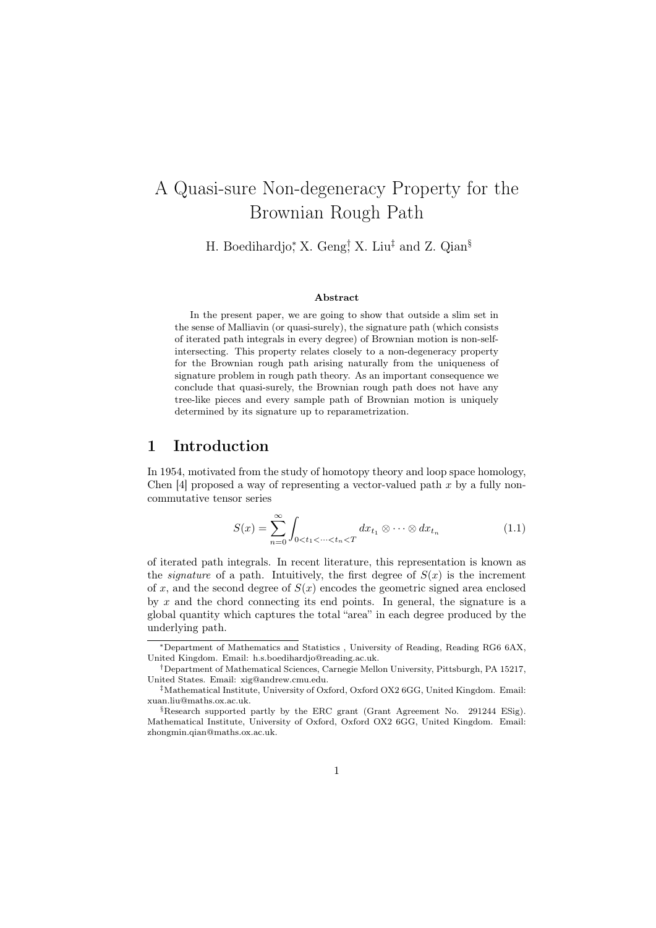# A Quasi-sure Non-degeneracy Property for the Brownian Rough Path

H. Boedihardjo<sup>\*</sup>, X. Geng<sup>†</sup>, X. Liu<sup>‡</sup> and Z. Qian<sup>§</sup>

#### Abstract

In the present paper, we are going to show that outside a slim set in the sense of Malliavin (or quasi-surely), the signature path (which consists of iterated path integrals in every degree) of Brownian motion is non-selfintersecting. This property relates closely to a non-degeneracy property for the Brownian rough path arising naturally from the uniqueness of signature problem in rough path theory. As an important consequence we conclude that quasi-surely, the Brownian rough path does not have any tree-like pieces and every sample path of Brownian motion is uniquely determined by its signature up to reparametrization.

### 1 Introduction

In 1954, motivated from the study of homotopy theory and loop space homology, Chen  $[4]$  proposed a way of representing a vector-valued path x by a fully noncommutative tensor series

$$
S(x) = \sum_{n=0}^{\infty} \int_{0 < t_1 < \dots < t_n < T} dx_{t_1} \otimes \dots \otimes dx_{t_n} \tag{1.1}
$$

of iterated path integrals. In recent literature, this representation is known as the *signature* of a path. Intuitively, the first degree of  $S(x)$  is the increment of x, and the second degree of  $S(x)$  encodes the geometric signed area enclosed by  $x$  and the chord connecting its end points. In general, the signature is a global quantity which captures the total "area" in each degree produced by the underlying path.

<sup>∗</sup>Department of Mathematics and Statistics , University of Reading, Reading RG6 6AX, United Kingdom. Email: h.s.boedihardjo@reading.ac.uk.

<sup>†</sup>Department of Mathematical Sciences, Carnegie Mellon University, Pittsburgh, PA 15217, United States. Email: xig@andrew.cmu.edu.

<sup>‡</sup>Mathematical Institute, University of Oxford, Oxford OX2 6GG, United Kingdom. Email: xuan.liu@maths.ox.ac.uk.

<sup>§</sup>Research supported partly by the ERC grant (Grant Agreement No. 291244 ESig). Mathematical Institute, University of Oxford, Oxford OX2 6GG, United Kingdom. Email: zhongmin.qian@maths.ox.ac.uk.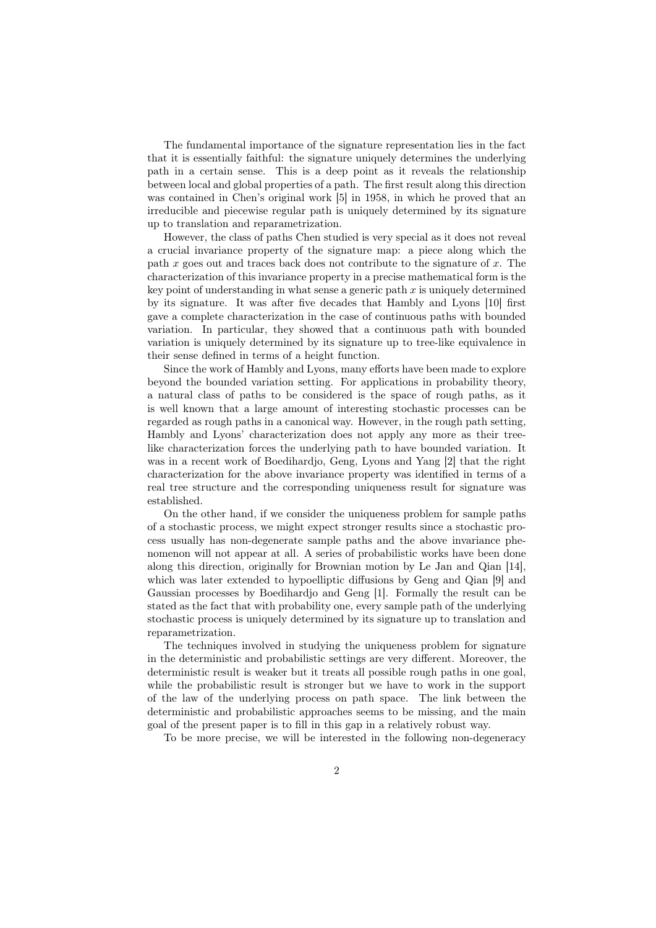The fundamental importance of the signature representation lies in the fact that it is essentially faithful: the signature uniquely determines the underlying path in a certain sense. This is a deep point as it reveals the relationship between local and global properties of a path. The first result along this direction was contained in Chen's original work [5] in 1958, in which he proved that an irreducible and piecewise regular path is uniquely determined by its signature up to translation and reparametrization.

However, the class of paths Chen studied is very special as it does not reveal a crucial invariance property of the signature map: a piece along which the path x goes out and traces back does not contribute to the signature of  $x$ . The characterization of this invariance property in a precise mathematical form is the key point of understanding in what sense a generic path  $x$  is uniquely determined by its signature. It was after five decades that Hambly and Lyons [10] first gave a complete characterization in the case of continuous paths with bounded variation. In particular, they showed that a continuous path with bounded variation is uniquely determined by its signature up to tree-like equivalence in their sense defined in terms of a height function.

Since the work of Hambly and Lyons, many efforts have been made to explore beyond the bounded variation setting. For applications in probability theory, a natural class of paths to be considered is the space of rough paths, as it is well known that a large amount of interesting stochastic processes can be regarded as rough paths in a canonical way. However, in the rough path setting, Hambly and Lyons' characterization does not apply any more as their treelike characterization forces the underlying path to have bounded variation. It was in a recent work of Boedihardjo, Geng, Lyons and Yang [2] that the right characterization for the above invariance property was identified in terms of a real tree structure and the corresponding uniqueness result for signature was established.

On the other hand, if we consider the uniqueness problem for sample paths of a stochastic process, we might expect stronger results since a stochastic process usually has non-degenerate sample paths and the above invariance phenomenon will not appear at all. A series of probabilistic works have been done along this direction, originally for Brownian motion by Le Jan and Qian [14], which was later extended to hypoelliptic diffusions by Geng and Qian [9] and Gaussian processes by Boedihardjo and Geng [1]. Formally the result can be stated as the fact that with probability one, every sample path of the underlying stochastic process is uniquely determined by its signature up to translation and reparametrization.

The techniques involved in studying the uniqueness problem for signature in the deterministic and probabilistic settings are very different. Moreover, the deterministic result is weaker but it treats all possible rough paths in one goal, while the probabilistic result is stronger but we have to work in the support of the law of the underlying process on path space. The link between the deterministic and probabilistic approaches seems to be missing, and the main goal of the present paper is to fill in this gap in a relatively robust way.

To be more precise, we will be interested in the following non-degeneracy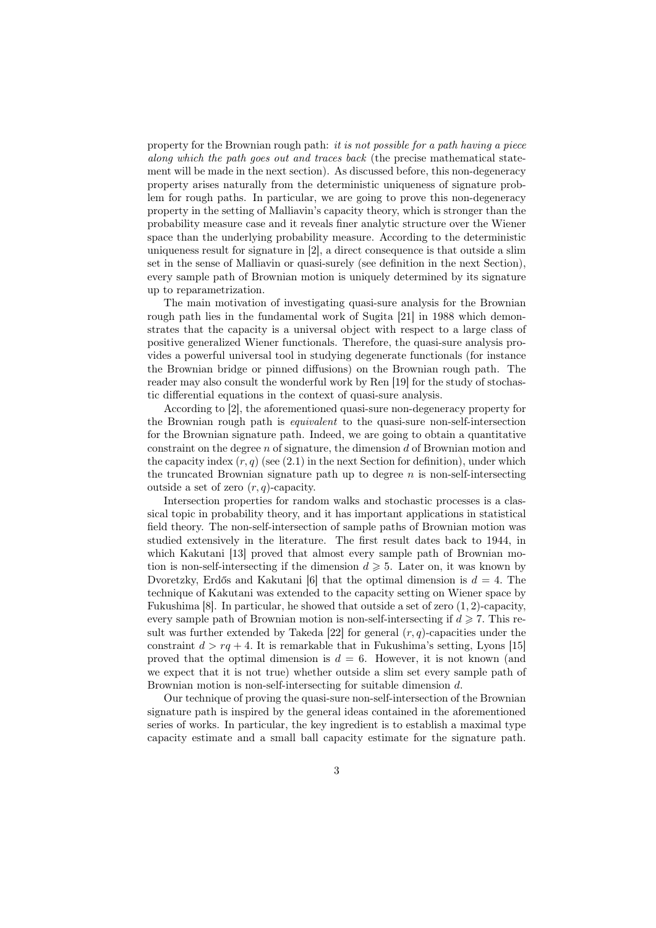property for the Brownian rough path: *it is not possible for a path having a piece* along which the path goes out and traces back (the precise mathematical statement will be made in the next section). As discussed before, this non-degeneracy property arises naturally from the deterministic uniqueness of signature problem for rough paths. In particular, we are going to prove this non-degeneracy property in the setting of Malliavin's capacity theory, which is stronger than the probability measure case and it reveals finer analytic structure over the Wiener space than the underlying probability measure. According to the deterministic uniqueness result for signature in [2], a direct consequence is that outside a slim set in the sense of Malliavin or quasi-surely (see definition in the next Section), every sample path of Brownian motion is uniquely determined by its signature up to reparametrization.

The main motivation of investigating quasi-sure analysis for the Brownian rough path lies in the fundamental work of Sugita [21] in 1988 which demonstrates that the capacity is a universal object with respect to a large class of positive generalized Wiener functionals. Therefore, the quasi-sure analysis provides a powerful universal tool in studying degenerate functionals (for instance the Brownian bridge or pinned diffusions) on the Brownian rough path. The reader may also consult the wonderful work by Ren [19] for the study of stochastic differential equations in the context of quasi-sure analysis.

According to [2], the aforementioned quasi-sure non-degeneracy property for the Brownian rough path is equivalent to the quasi-sure non-self-intersection for the Brownian signature path. Indeed, we are going to obtain a quantitative constraint on the degree  $n$  of signature, the dimension  $d$  of Brownian motion and the capacity index  $(r, q)$  (see (2.1) in the next Section for definition), under which the truncated Brownian signature path up to degree  $n$  is non-self-intersecting outside a set of zero  $(r, q)$ -capacity.

Intersection properties for random walks and stochastic processes is a classical topic in probability theory, and it has important applications in statistical field theory. The non-self-intersection of sample paths of Brownian motion was studied extensively in the literature. The first result dates back to 1944, in which Kakutani [13] proved that almost every sample path of Brownian motion is non-self-intersecting if the dimension  $d \geq 5$ . Later on, it was known by Dvoretzky, Erdős and Kakutani [6] that the optimal dimension is  $d = 4$ . The technique of Kakutani was extended to the capacity setting on Wiener space by Fukushima [8]. In particular, he showed that outside a set of zero (1, 2)-capacity, every sample path of Brownian motion is non-self-intersecting if  $d \ge 7$ . This result was further extended by Takeda [22] for general  $(r, q)$ -capacities under the constraint  $d > rq + 4$ . It is remarkable that in Fukushima's setting, Lyons [15] proved that the optimal dimension is  $d = 6$ . However, it is not known (and we expect that it is not true) whether outside a slim set every sample path of Brownian motion is non-self-intersecting for suitable dimension d.

Our technique of proving the quasi-sure non-self-intersection of the Brownian signature path is inspired by the general ideas contained in the aforementioned series of works. In particular, the key ingredient is to establish a maximal type capacity estimate and a small ball capacity estimate for the signature path.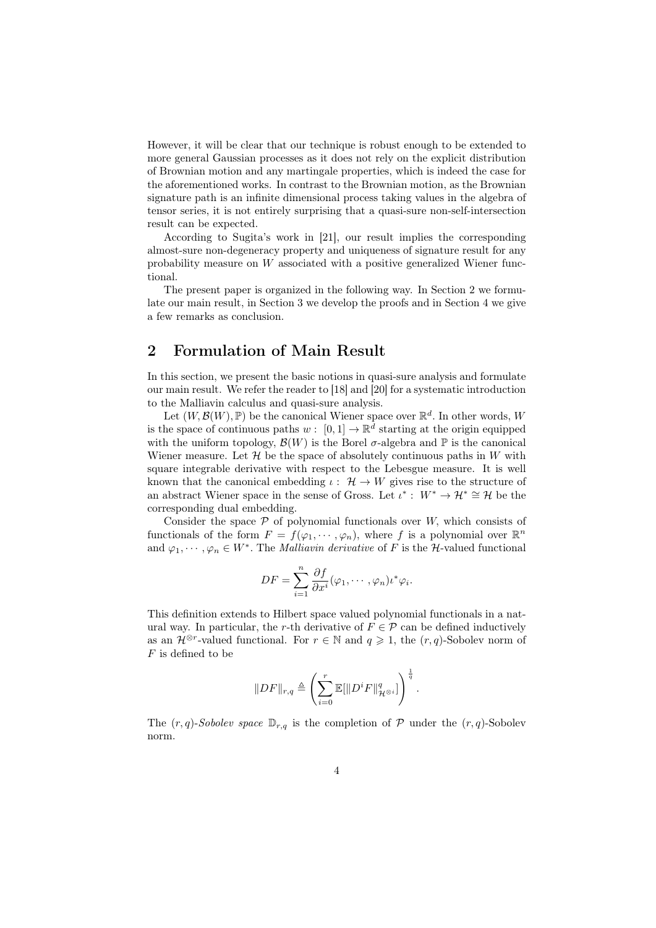However, it will be clear that our technique is robust enough to be extended to more general Gaussian processes as it does not rely on the explicit distribution of Brownian motion and any martingale properties, which is indeed the case for the aforementioned works. In contrast to the Brownian motion, as the Brownian signature path is an infinite dimensional process taking values in the algebra of tensor series, it is not entirely surprising that a quasi-sure non-self-intersection result can be expected.

According to Sugita's work in [21], our result implies the corresponding almost-sure non-degeneracy property and uniqueness of signature result for any probability measure on W associated with a positive generalized Wiener functional.

The present paper is organized in the following way. In Section 2 we formulate our main result, in Section 3 we develop the proofs and in Section 4 we give a few remarks as conclusion.

# 2 Formulation of Main Result

In this section, we present the basic notions in quasi-sure analysis and formulate our main result. We refer the reader to [18] and [20] for a systematic introduction to the Malliavin calculus and quasi-sure analysis.

Let  $(W, \mathcal{B}(W), \mathbb{P})$  be the canonical Wiener space over  $\mathbb{R}^d$ . In other words, W is the space of continuous paths  $w: [0,1] \to \mathbb{R}^d$  starting at the origin equipped with the uniform topology,  $\mathcal{B}(W)$  is the Borel  $\sigma$ -algebra and  $\mathbb P$  is the canonical Wiener measure. Let  $\mathcal{H}$  be the space of absolutely continuous paths in W with square integrable derivative with respect to the Lebesgue measure. It is well known that the canonical embedding  $\iota: \mathcal{H} \to W$  gives rise to the structure of an abstract Wiener space in the sense of Gross. Let  $\iota^* : W^* \to \mathcal{H}^* \cong \mathcal{H}$  be the corresponding dual embedding.

Consider the space  $P$  of polynomial functionals over  $W$ , which consists of functionals of the form  $F = f(\varphi_1, \dots, \varphi_n)$ , where f is a polynomial over  $\mathbb{R}^n$ and  $\varphi_1, \dots, \varphi_n \in W^*$ . The *Malliavin derivative* of F is the *H*-valued functional

$$
DF = \sum_{i=1}^{n} \frac{\partial f}{\partial x^{i}} (\varphi_{1}, \cdots, \varphi_{n}) t^{*} \varphi_{i}.
$$

This definition extends to Hilbert space valued polynomial functionals in a natural way. In particular, the r-th derivative of  $F \in \mathcal{P}$  can be defined inductively as an  $\mathcal{H}^{\otimes r}$ -valued functional. For  $r \in \mathbb{N}$  and  $q \geq 1$ , the  $(r, q)$ -Sobolev norm of  $F$  is defined to be

$$
||DF||_{r,q} \triangleq \left(\sum_{i=0}^r \mathbb{E}[||D^i F||_{\mathcal{H}^{\otimes i}}^q]\right)^{\frac{1}{q}}.
$$

The  $(r, q)$ -Sobolev space  $\mathbb{D}_{r,q}$  is the completion of P under the  $(r, q)$ -Sobolev norm.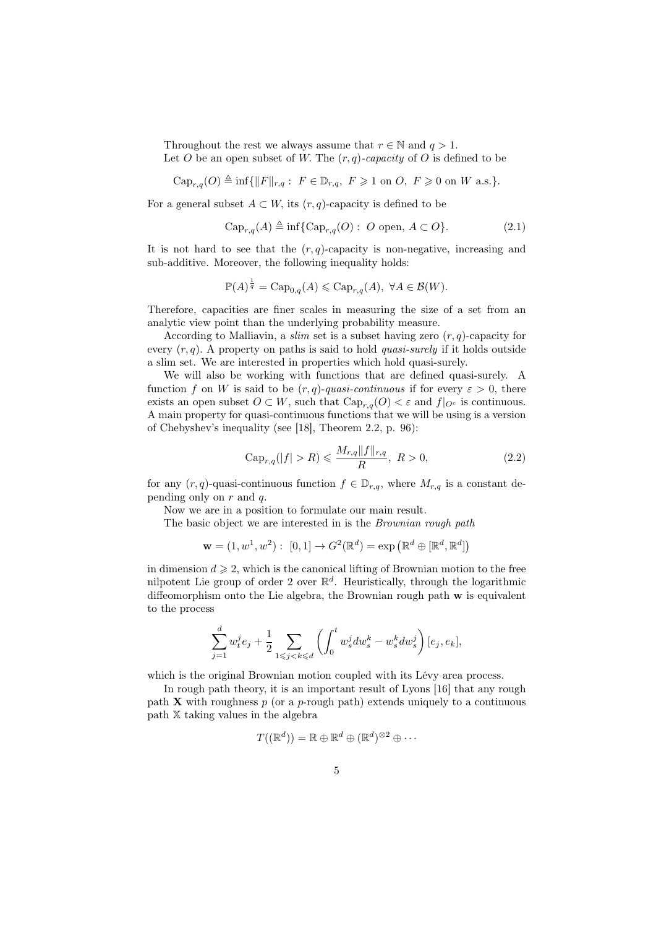Throughout the rest we always assume that  $r \in \mathbb{N}$  and  $q > 1$ . Let O be an open subset of W. The  $(r, q)$ -capacity of O is defined to be

$$
\text{Cap}_{r,q}(O) \triangleq \inf \{ ||F||_{r,q} : F \in \mathbb{D}_{r,q}, F \geq 1 \text{ on } O, F \geq 0 \text{ on } W \text{ a.s.} \}.
$$

For a general subset  $A \subset W$ , its  $(r, q)$ -capacity is defined to be

$$
\operatorname{Cap}_{r,q}(A) \triangleq \inf \{ \operatorname{Cap}_{r,q}(O) : O \text{ open}, A \subset O \}. \tag{2.1}
$$

It is not hard to see that the  $(r, q)$ -capacity is non-negative, increasing and sub-additive. Moreover, the following inequality holds:

$$
\mathbb{P}(A)^{\frac{1}{q}} = \text{Cap}_{0,q}(A) \leqslant \text{Cap}_{r,q}(A), \ \forall A \in \mathcal{B}(W).
$$

Therefore, capacities are finer scales in measuring the size of a set from an analytic view point than the underlying probability measure.

According to Malliavin, a *slim* set is a subset having zero  $(r, q)$ -capacity for every  $(r, q)$ . A property on paths is said to hold *quasi-surely* if it holds outside a slim set. We are interested in properties which hold quasi-surely.

We will also be working with functions that are defined quasi-surely. A function f on W is said to be  $(r, q)$ -quasi-continuous if for every  $\varepsilon > 0$ , there exists an open subset  $O \subset W$ , such that  $\text{Cap}_{r,q}(O) < \varepsilon$  and  $f|_{O^c}$  is continuous. A main property for quasi-continuous functions that we will be using is a version of Chebyshev's inequality (see [18], Theorem 2.2, p. 96):

$$
Cap_{r,q}(|f| > R) \leq \frac{M_{r,q}||f||_{r,q}}{R}, R > 0,
$$
\n(2.2)

for any  $(r, q)$ -quasi-continuous function  $f \in \mathbb{D}_{r,q}$ , where  $M_{r,q}$  is a constant depending only on  $r$  and  $q$ .

Now we are in a position to formulate our main result.

The basic object we are interested in is the Brownian rough path

$$
\mathbf{w} = (1, w^1, w^2): [0, 1] \rightarrow G^2(\mathbb{R}^d) = \exp\left(\mathbb{R}^d \oplus [\mathbb{R}^d, \mathbb{R}^d]\right)
$$

in dimension  $d \geq 2$ , which is the canonical lifting of Brownian motion to the free nilpotent Lie group of order 2 over  $\mathbb{R}^d$ . Heuristically, through the logarithmic diffeomorphism onto the Lie algebra, the Brownian rough path w is equivalent to the process

$$
\sum_{j=1}^{d} w_t^j e_j + \frac{1}{2} \sum_{1 \leq j < k \leq d} \left( \int_0^t w_s^j dw_s^k - w_s^k dw_s^j \right) [e_j, e_k],
$$

which is the original Brownian motion coupled with its Lévy area process.

In rough path theory, it is an important result of Lyons [16] that any rough path **X** with roughness  $p$  (or a  $p$ -rough path) extends uniquely to a continuous path X taking values in the algebra

$$
T((\mathbb{R}^d)) = \mathbb{R} \oplus \mathbb{R}^d \oplus (\mathbb{R}^d)^{\otimes 2} \oplus \cdots
$$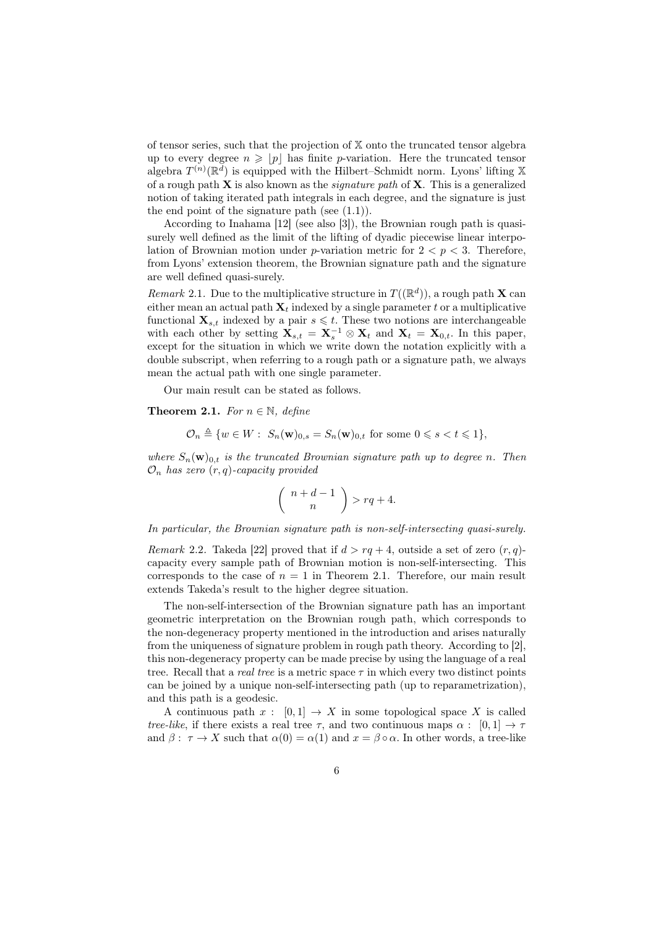of tensor series, such that the projection of X onto the truncated tensor algebra up to every degree  $n \geqslant |p|$  has finite p-variation. Here the truncated tensor algebra  $T^{(n)}(\mathbb{R}^d)$  is equipped with the Hilbert–Schmidt norm. Lyons' lifting X of a rough path  $X$  is also known as the *signature path* of  $X$ . This is a generalized notion of taking iterated path integrals in each degree, and the signature is just the end point of the signature path (see  $(1.1)$ ).

According to Inahama [12] (see also [3]), the Brownian rough path is quasisurely well defined as the limit of the lifting of dyadic piecewise linear interpolation of Brownian motion under *p*-variation metric for  $2 < p < 3$ . Therefore, from Lyons' extension theorem, the Brownian signature path and the signature are well defined quasi-surely.

Remark 2.1. Due to the multiplicative structure in  $T((\mathbb{R}^d))$ , a rough path **X** can either mean an actual path  $X_t$  indexed by a single parameter t or a multiplicative functional  $\mathbf{X}_{s,t}$  indexed by a pair  $s \leq t$ . These two notions are interchangeable with each other by setting  $\mathbf{X}_{s,t} = \mathbf{X}_{s}^{-1} \otimes \mathbf{X}_{t}$  and  $\mathbf{X}_{t} = \mathbf{X}_{0,t}$ . In this paper, except for the situation in which we write down the notation explicitly with a double subscript, when referring to a rough path or a signature path, we always mean the actual path with one single parameter.

Our main result can be stated as follows.

#### **Theorem 2.1.** For  $n \in \mathbb{N}$ , define

$$
\mathcal{O}_n \triangleq \{ w \in W : S_n(\mathbf{w})_{0,s} = S_n(\mathbf{w})_{0,t} \text{ for some } 0 \leq s < t \leq 1 \},\
$$

where  $S_n(\mathbf{w})_{0,t}$  is the truncated Brownian signature path up to degree n. Then  $\mathcal{O}_n$  has zero  $(r, q)$ -capacity provided

$$
\left(\begin{array}{c} n+d-1\\ n \end{array}\right) >rq+4.
$$

#### In particular, the Brownian signature path is non-self-intersecting quasi-surely.

Remark 2.2. Takeda [22] proved that if  $d > rq + 4$ , outside a set of zero  $(r, q)$ capacity every sample path of Brownian motion is non-self-intersecting. This corresponds to the case of  $n = 1$  in Theorem 2.1. Therefore, our main result extends Takeda's result to the higher degree situation.

The non-self-intersection of the Brownian signature path has an important geometric interpretation on the Brownian rough path, which corresponds to the non-degeneracy property mentioned in the introduction and arises naturally from the uniqueness of signature problem in rough path theory. According to [2], this non-degeneracy property can be made precise by using the language of a real tree. Recall that a *real tree* is a metric space  $\tau$  in which every two distinct points can be joined by a unique non-self-intersecting path (up to reparametrization), and this path is a geodesic.

A continuous path  $x : [0, 1] \rightarrow X$  in some topological space X is called tree-like, if there exists a real tree  $\tau$ , and two continuous maps  $\alpha : [0,1] \rightarrow \tau$ and  $\beta: \tau \to X$  such that  $\alpha(0) = \alpha(1)$  and  $x = \beta \circ \alpha$ . In other words, a tree-like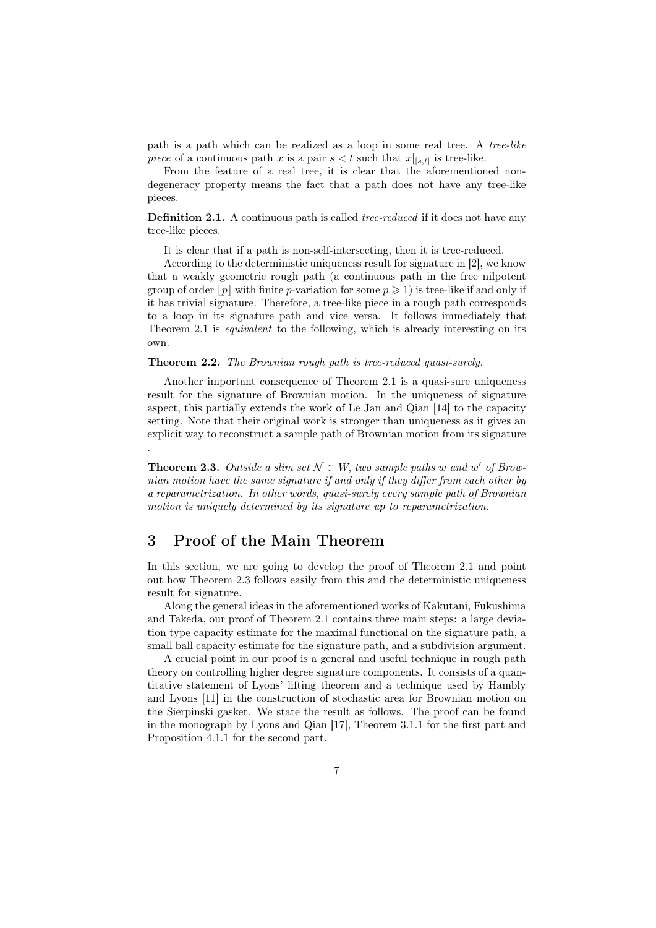path is a path which can be realized as a loop in some real tree. A tree-like piece of a continuous path x is a pair  $s < t$  such that  $x|_{[s,t]}$  is tree-like.

From the feature of a real tree, it is clear that the aforementioned nondegeneracy property means the fact that a path does not have any tree-like pieces.

Definition 2.1. A continuous path is called *tree-reduced* if it does not have any tree-like pieces.

It is clear that if a path is non-self-intersecting, then it is tree-reduced.

According to the deterministic uniqueness result for signature in [2], we know that a weakly geometric rough path (a continuous path in the free nilpotent group of order  $|p|$  with finite p-variation for some  $p \geqslant 1$ ) is tree-like if and only if it has trivial signature. Therefore, a tree-like piece in a rough path corresponds to a loop in its signature path and vice versa. It follows immediately that Theorem 2.1 is *equivalent* to the following, which is already interesting on its own.

#### Theorem 2.2. The Brownian rough path is tree-reduced quasi-surely.

Another important consequence of Theorem 2.1 is a quasi-sure uniqueness result for the signature of Brownian motion. In the uniqueness of signature aspect, this partially extends the work of Le Jan and Qian [14] to the capacity setting. Note that their original work is stronger than uniqueness as it gives an explicit way to reconstruct a sample path of Brownian motion from its signature

**Theorem 2.3.** Outside a slim set  $N \subset W$ , two sample paths w and w' of Brownian motion have the same signature if and only if they differ from each other by a reparametrization. In other words, quasi-surely every sample path of Brownian motion is uniquely determined by its signature up to reparametrization.

# 3 Proof of the Main Theorem

.

In this section, we are going to develop the proof of Theorem 2.1 and point out how Theorem 2.3 follows easily from this and the deterministic uniqueness result for signature.

Along the general ideas in the aforementioned works of Kakutani, Fukushima and Takeda, our proof of Theorem 2.1 contains three main steps: a large deviation type capacity estimate for the maximal functional on the signature path, a small ball capacity estimate for the signature path, and a subdivision argument.

A crucial point in our proof is a general and useful technique in rough path theory on controlling higher degree signature components. It consists of a quantitative statement of Lyons' lifting theorem and a technique used by Hambly and Lyons [11] in the construction of stochastic area for Brownian motion on the Sierpinski gasket. We state the result as follows. The proof can be found in the monograph by Lyons and Qian [17], Theorem 3.1.1 for the first part and Proposition 4.1.1 for the second part.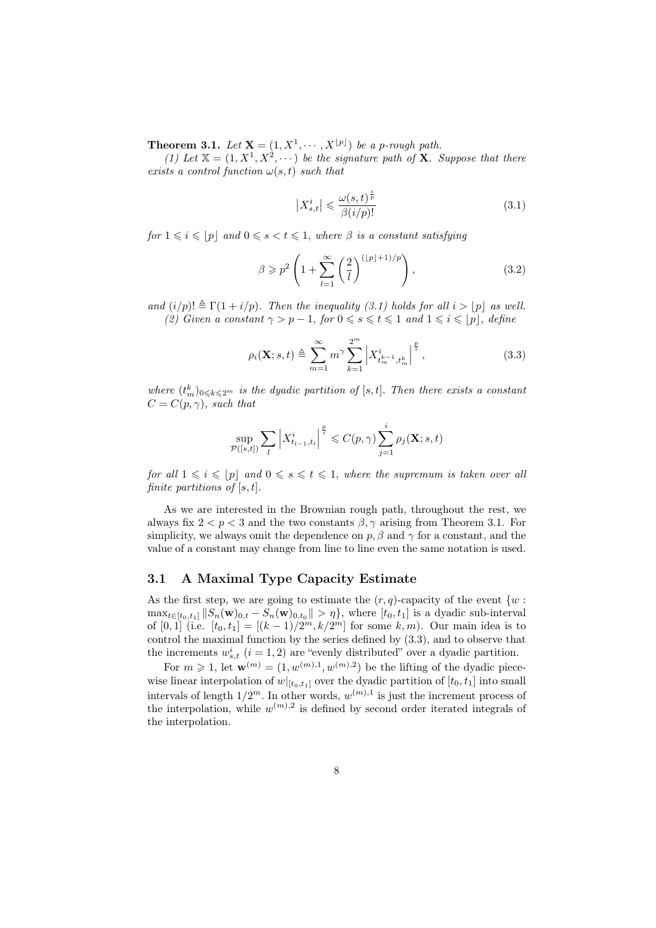**Theorem 3.1.** Let  $\mathbf{X} = (1, X^1, \dots, X^{\lfloor p \rfloor})$  be a p-rough path.

(1) Let  $X = (1, X^1, X^2, \dots)$  be the signature path of **X**. Suppose that there exists a control function  $\omega(s,t)$  such that

$$
\left| X_{s,t}^{i} \right| \leqslant \frac{\omega(s,t)^{\frac{i}{p}}}{\beta(i/p)!} \tag{3.1}
$$

for  $1 \leq i \leq p \mid$  and  $0 \leq s < t \leq 1$ , where  $\beta$  is a constant satisfying

$$
\beta \geqslant p^2 \left( 1 + \sum_{l=1}^{\infty} \left( \frac{2}{l} \right)^{(\lfloor p \rfloor + 1)/p} \right),\tag{3.2}
$$

and  $(i/p)! \triangleq \Gamma(1 + i/p)$ . Then the inequality (3.1) holds for all  $i > |p|$  as well. (2) Given a constant  $\gamma > p - 1$ , for  $0 \le s \le t \le 1$  and  $1 \le i \le |p|$ , define

$$
\rho_i(\mathbf{X}; s, t) \triangleq \sum_{m=1}^{\infty} m^{\gamma} \sum_{k=1}^{2^m} \left| X_{t_m^{k-1}, t_m^k}^i \right|^{\frac{p}{i}}, \tag{3.3}
$$

where  $(t_m^k)_{0 \leq k \leq 2^m}$  is the dyadic partition of [s, t]. Then there exists a constant  $C = C(p, \gamma)$ , such that

$$
\sup_{\mathcal{P}([s,t])}\sum_l \left|X^i_{t_{l-1},t_l}\right|^{\frac{p}{i}} \leqslant C(p,\gamma)\sum_{j=1}^i\rho_j(\mathbf{X};s,t)
$$

for all  $1 \leq i \leq p$  and  $0 \leq s \leq t \leq 1$ , where the supremum is taken over all finite partitions of  $[s, t]$ .

As we are interested in the Brownian rough path, throughout the rest, we always fix  $2 < p < 3$  and the two constants  $\beta, \gamma$  arising from Theorem 3.1. For simplicity, we always omit the dependence on  $p, \beta$  and  $\gamma$  for a constant, and the value of a constant may change from line to line even the same notation is used.

#### 3.1 A Maximal Type Capacity Estimate

As the first step, we are going to estimate the  $(r, q)$ -capacity of the event  $\{w :$  $\max_{t \in [t_0, t_1]} \|S_n(\mathbf{w})_{0,t} - S_n(\mathbf{w})_{0,t_0}\| > \eta\},\$  where  $[t_0, t_1]$  is a dyadic sub-interval of  $[0,1]$  (i.e.  $[t_0, t_1] = [(k-1)/2^m, k/2^m]$  for some  $k, m$ ). Our main idea is to control the maximal function by the series defined by (3.3), and to observe that the increments  $w_{s,t}^i$   $(i = 1, 2)$  are "evenly distributed" over a dyadic partition.

For  $m \geq 1$ , let  $\mathbf{w}^{(m)} = (1, w^{(m),1}, w^{(m),2})$  be the lifting of the dyadic piecewise linear interpolation of  $w|_{[t_0,t_1]}$  over the dyadic partition of  $[t_0, t_1]$  into small intervals of length  $1/2^m$ . In other words,  $w^{(m),1}$  is just the increment process of the interpolation, while  $w^{(m),2}$  is defined by second order iterated integrals of the interpolation.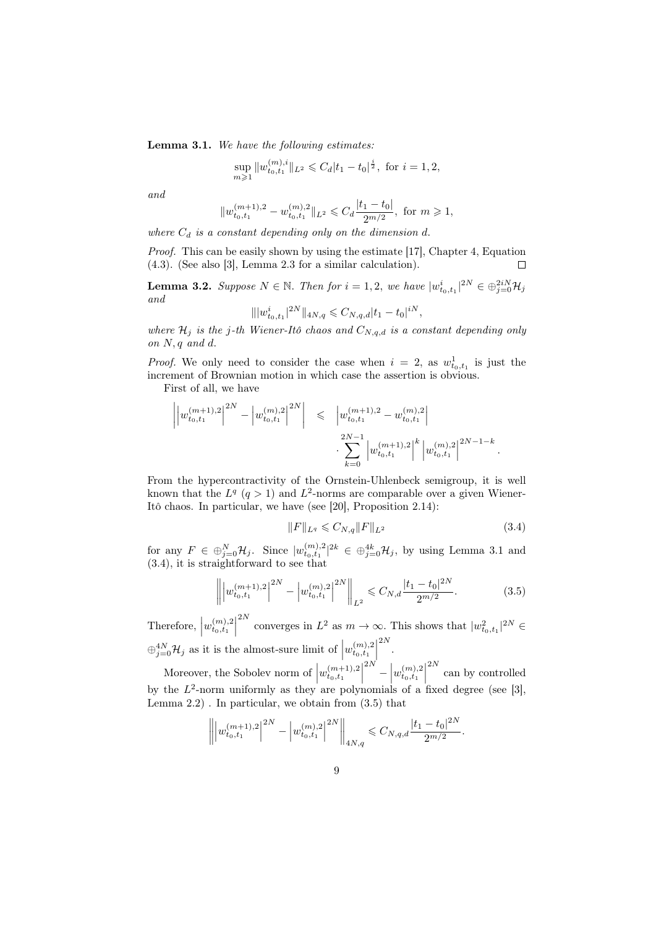Lemma 3.1. We have the following estimates:

$$
\sup_{m\geq 1} \|w_{t_0,t_1}^{(m),i}\|_{L^2} \leq C_d |t_1-t_0|^{\frac{i}{2}}, \text{ for } i=1,2,
$$

and

$$
||w_{t_0,t_1}^{(m+1),2} - w_{t_0,t_1}^{(m),2}||_{L^2} \leq C_d \frac{|t_1 - t_0|}{2^{m/2}},
$$
 for  $m \geq 1$ ,

where  $C_d$  is a constant depending only on the dimension  $d$ .

Proof. This can be easily shown by using the estimate [17], Chapter 4, Equation (4.3). (See also [3], Lemma 2.3 for a similar calculation). П

**Lemma 3.2.** Suppose  $N \in \mathbb{N}$ . Then for  $i = 1, 2$ , we have  $|w_{t_0, t_1}^i|^{2N} \in \bigoplus_{j=0}^{2i} \mathcal{H}_j$ and

$$
\||w_{t_0,t_1}^i|^{2N}\|_{4N,q}\leqslant C_{N,q,d}|t_1-t_0|^{iN},
$$

where  $\mathcal{H}_j$  is the j-th Wiener-Itô chaos and  $C_{N,q,d}$  is a constant depending only on  $N$ , q and d.

*Proof.* We only need to consider the case when  $i = 2$ , as  $w_{t_0,t_1}^1$  is just the increment of Brownian motion in which case the assertion is obvious.

First of all, we have

$$
\left| \left| w_{t_0,t_1}^{(m+1),2} \right|^{2N} - \left| w_{t_0,t_1}^{(m),2} \right|^{2N} \right| \leq \left| w_{t_0,t_1}^{(m+1),2} - w_{t_0,t_1}^{(m),2} \right|
$$
  

$$
\sum_{k=0}^{2N-1} \left| w_{t_0,t_1}^{(m+1),2} \right|^k \left| w_{t_0,t_1}^{(m),2} \right|^{2N-1-k}.
$$

From the hypercontractivity of the Ornstein-Uhlenbeck semigroup, it is well known that the  $L^q$  ( $q > 1$ ) and  $L^2$ -norms are comparable over a given Wiener-Itô chaos. In particular, we have (see [20], Proposition 2.14):

$$
||F||_{L^{q}} \leqslant C_{N,q}||F||_{L^{2}}
$$
\n(3.4)

for any  $F \in \bigoplus_{j=0}^N \mathcal{H}_j$ . Since  $|w_{t_0,t_1}^{(m),2}|^{2k} \in \bigoplus_{j=0}^{4k} \mathcal{H}_j$ , by using Lemma 3.1 and (3.4), it is straightforward to see that

$$
\left\| \left| w_{t_0, t_1}^{(m+1), 2} \right|^{2N} - \left| w_{t_0, t_1}^{(m), 2} \right|^{2N} \right\|_{L^2} \leqslant C_{N, d} \frac{|t_1 - t_0|^{2N}}{2^{m/2}}.
$$
 (3.5)

Therefore,  $\left| w^{(m),2}_{t_0,t_1} \right|$ <sup>2N</sup> converges in  $L^2$  as  $m \to \infty$ . This shows that  $|w_{t_0,t_1}^2|^{2N} \in$  $\bigoplus_{j=0}^{4N} \mathcal{H}_j$  as it is the almost-sure limit of  $\left| w_{t_0,t_1}^{(m),2} \right|$ 2N .

Moreover, the Sobolev norm of  $\left| w_{t_0,t_1}^{(m+1),2} \right|$  $\left| \begin{matrix} 2N-1 \ w_{t_0,t_1}^{(m),2} \end{matrix} \right|$ 2N can by controlled by the  $L^2$ -norm uniformly as they are polynomials of a fixed degree (see [3], Lemma 2.2) . In particular, we obtain from (3.5) that

$$
\left\| \left| w_{t_0,t_1}^{(m+1),2} \right|^{2N} - \left| w_{t_0,t_1}^{(m),2} \right|^{2N} \right\|_{4N,q} \leqslant C_{N,q,d} \frac{|t_1-t_0|^{2N}}{2^{m/2}}.
$$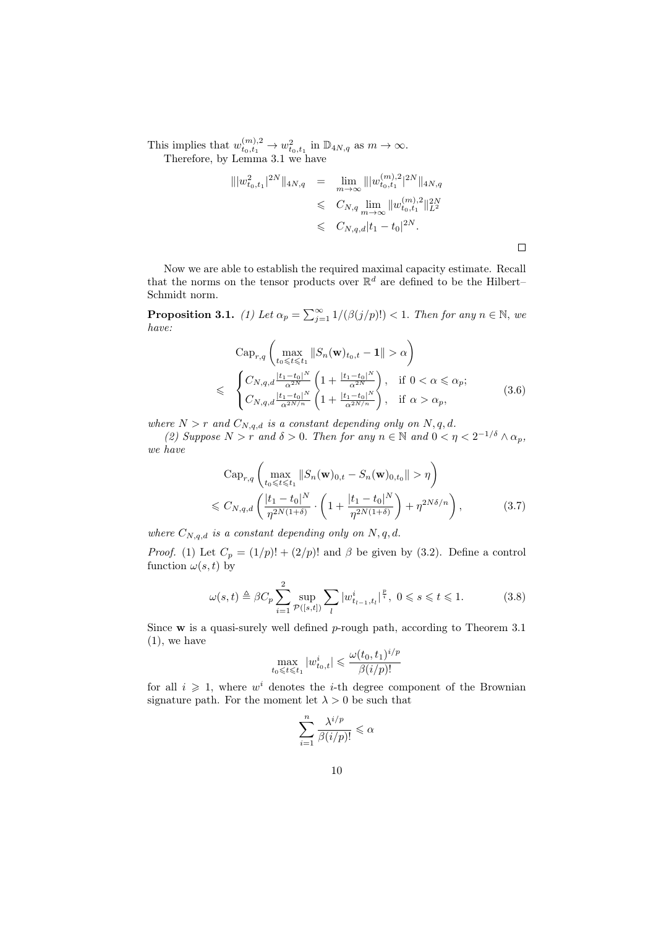This implies that  $w_{t_0,t_1}^{(m),2} \to w_{t_0,t_1}^2$  in  $\mathbb{D}_{4N,q}$  as  $m \to \infty$ . Therefore, by Lemma 3.1 we have

$$
\| |w_{t_0,t_1}^{2} |^{2N} \|_{4N,q} = \lim_{m \to \infty} \| |w_{t_0,t_1}^{(m),2} |^{2N} \|_{4N,q}
$$
  
\$\leqslant C\_{N,q} \lim\_{m \to \infty} \|w\_{t\_0,t\_1}^{(m),2} \|\_{L^2}^{2N}\$  
\$\leqslant C\_{N,q,d} |t\_1 - t\_0|^{2N}\$.

Now we are able to establish the required maximal capacity estimate. Recall that the norms on the tensor products over  $\mathbb{R}^d$  are defined to be the Hilbert– Schmidt norm.

**Proposition 3.1.** (1) Let  $\alpha_p = \sum_{j=1}^{\infty} 1/(\beta(j/p)!) < 1$ . Then for any  $n \in \mathbb{N}$ , we have:

$$
\begin{split}\n&\text{Cap}_{r,q}\left(\max_{t_0 \leqslant t \leqslant t_1} \|S_n(\mathbf{w})_{t_0,t} - \mathbf{1}\| > \alpha\right) \\
&\leqslant\n\begin{cases}\nC_{N,q,d} \frac{|t_1 - t_0|^N}{\alpha^{2N}} \left(1 + \frac{|t_1 - t_0|^N}{\alpha^{2N}}\right), & \text{if } 0 < \alpha \leqslant \alpha_p; \\
C_{N,q,d} \frac{|t_1 - t_0|^N}{\alpha^{2N/n}} \left(1 + \frac{|t_1 - t_0|^N}{\alpha^{2N/n}}\right), & \text{if } \alpha > \alpha_p,\n\end{cases}\n\end{split} \tag{3.6}
$$

 $\Box$ 

where  $N > r$  and  $C_{N,q,d}$  is a constant depending only on  $N, q, d$ .

(2) Suppose  $N > r$  and  $\delta > 0$ . Then for any  $n \in \mathbb{N}$  and  $0 < \eta < 2^{-1/\delta} \wedge \alpha_p$ , we have

$$
\text{Cap}_{r,q}\left(\max_{t_0 \leqslant t \leqslant t_1} \|S_n(\mathbf{w})_{0,t} - S_n(\mathbf{w})_{0,t_0}\| > \eta\right)
$$
  
\$\leqslant C\_{N,q,d}\left(\frac{|t\_1 - t\_0|^N}{\eta^{2N(1+\delta)}} \cdot \left(1 + \frac{|t\_1 - t\_0|^N}{\eta^{2N(1+\delta)}}\right) + \eta^{2N\delta/n}\right), \tag{3.7}

where  $C_{N,q,d}$  is a constant depending only on N, q, d.

*Proof.* (1) Let  $C_p = (1/p)! + (2/p)!$  and  $\beta$  be given by (3.2). Define a control function  $\omega(s,t)$  by

$$
\omega(s,t) \triangleq \beta C_p \sum_{i=1}^{2} \sup_{\mathcal{P}([s,t])} \sum_{l} |w_{t_{l-1},t_l}^i|^{\frac{p}{i}}, \ 0 \leq s \leq t \leq 1. \tag{3.8}
$$

Since w is a quasi-surely well defined p-rough path, according to Theorem 3.1  $(1)$ , we have

$$
\max_{t_0\leqslant t\leqslant t_1}|w^i_{t_0,t}|\leqslant \frac{\omega(t_0,t_1)^{i/p}}{\beta(i/p)!}
$$

for all  $i \geqslant 1$ , where  $w^i$  denotes the *i*-th degree component of the Brownian signature path. For the moment let  $\lambda > 0$  be such that

$$
\sum_{i=1}^n \frac{\lambda^{i/p}}{\beta(i/p)!} \leqslant \alpha
$$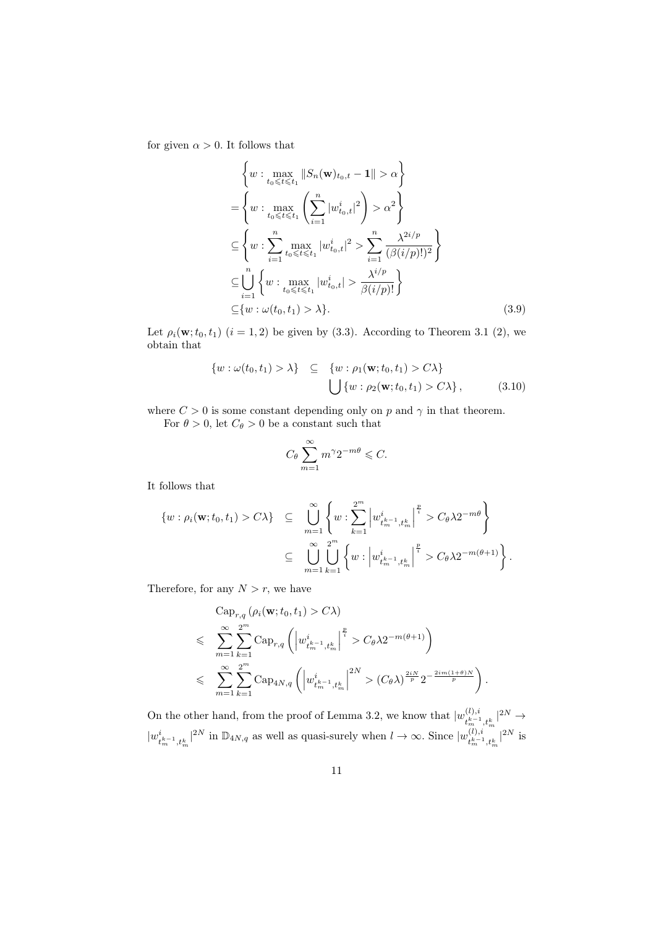for given  $\alpha > 0$ . It follows that

$$
\left\{ w : \max_{t_0 \leqslant t \leqslant t_1} \|S_n(\mathbf{w})_{t_0, t} - \mathbf{1}\| > \alpha \right\}
$$
\n
$$
= \left\{ w : \max_{t_0 \leqslant t \leqslant t_1} \left( \sum_{i=1}^n |w_{t_0, t}^i|^2 \right) > \alpha^2 \right\}
$$
\n
$$
\subseteq \left\{ w : \sum_{i=1}^n \max_{t_0 \leqslant t \leqslant t_1} |w_{t_0, t}^i|^2 > \sum_{i=1}^n \frac{\lambda^{2i/p}}{(\beta(i/p)!)^2} \right\}
$$
\n
$$
\subseteq \bigcup_{i=1}^n \left\{ w : \max_{t_0 \leqslant t \leqslant t_1} |w_{t_0, t}^i| > \frac{\lambda^{i/p}}{\beta(i/p)!} \right\}
$$
\n
$$
\subseteq \left\{ w : \omega(t_0, t_1) > \lambda \right\}.
$$
\n(3.9)

Let  $\rho_i(\mathbf{w}; t_0, t_1)$   $(i = 1, 2)$  be given by (3.3). According to Theorem 3.1 (2), we obtain that

$$
\{w : \omega(t_0, t_1) > \lambda\} \subseteq \{w : \rho_1(\mathbf{w}; t_0, t_1) > C\lambda\}
$$

$$
\bigcup \{w : \rho_2(\mathbf{w}; t_0, t_1) > C\lambda\}, \qquad (3.10)
$$

where  $C > 0$  is some constant depending only on p and  $\gamma$  in that theorem. For  $\theta > 0$ , let  $C_{\theta} > 0$  be a constant such that

$$
C_{\theta} \sum_{m=1}^{\infty} m^{\gamma} 2^{-m\theta} \leq C.
$$

It follows that

$$
\{w:\rho_i(\mathbf{w};t_0,t_1) > C\lambda\} \subseteq \bigcup_{m=1}^{\infty} \left\{w: \sum_{k=1}^{2^m} \left|w_{t_m^{k-1},t_m^k}^i\right|^{\frac{p}{i}} > C_\theta \lambda 2^{-m\theta}\right\}
$$
\n
$$
\subseteq \bigcup_{m=1}^{\infty} \bigcup_{k=1}^{2^m} \left\{w: \left|w_{t_m^{k-1},t_m^k}^i\right|^{\frac{p}{i}} > C_\theta \lambda 2^{-m(\theta+1)}\right\}.
$$

Therefore, for any  $N > r$ , we have

$$
\begin{split}\n&\text{Cap}_{r,q}(\rho_i(\mathbf{w};t_0,t_1) > C\lambda) \\
&\leq \sum_{m=1}^{\infty} \sum_{k=1}^{2^m} \text{Cap}_{r,q}\left(\left|w_{t_m^{k-1},t_m^k}^i\right|^{\frac{p}{i}} > C_\theta\lambda 2^{-m(\theta+1)}\right) \\
&\leq \sum_{m=1}^{\infty} \sum_{k=1}^{2^m} \text{Cap}_{4N,q}\left(\left|w_{t_m^{k-1},t_m^k}^i\right|^{2N} > (C_\theta\lambda)^{\frac{2iN}{p}} 2^{-\frac{2im(1+\theta)N}{p}}\right).\n\end{split}
$$

On the other hand, from the proof of Lemma 3.2, we know that  $|w_{k-1}^{(l),i}|$  $\frac{1}{t_m^{k-1},t_m^k}|^{2N} \rightarrow$  $|w_i^i$  $\int_{t_m^{k-1},t_m^k}^{t} |^{2N}$  in  $\mathbb{D}_{4N,q}$  as well as quasi-surely when  $l \to \infty$ . Since  $|w_{t_m^{k-1},t_m^{k-1}}^{(l),i}|$  $\int_{t_m^{k-1},t_m^k}^{(l),i} |^{2N}$  is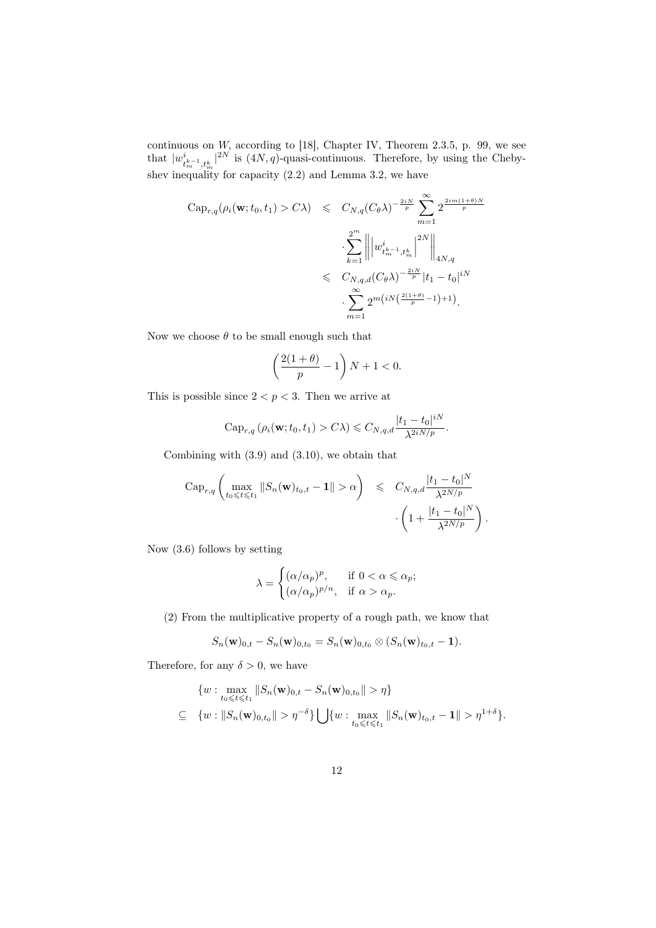continuous on  $W$ , according to [18], Chapter IV, Theorem 2.3.5, p. 99, we see that  $|w_i^i$  $\int_{t_m^{k-1},t_m^k}^{i}$  |<sup>2N</sup> is  $(4N,q)$ -quasi-continuous. Therefore, by using the Chebyshev inequality for capacity (2.2) and Lemma 3.2, we have

$$
\begin{array}{rcl}\n\text{Cap}_{r,q}(\rho_i(\mathbf{w};t_0,t_1) > C\lambda) & \leqslant & C_{N,q}(C_\theta\lambda)^{-\frac{2iN}{p}} \sum_{m=1}^{\infty} 2^{\frac{2im(1+\theta)N}{p}} \\
& \sum_{k=1}^{2^m} \left\| \left| w_{t_m^{k-1},t_m^k}^i \right|^{2N} \right\|_{4N,q} \\
& \leqslant & C_{N,q,d}(C_\theta\lambda)^{-\frac{2iN}{p}} |t_1-t_0|^{iN} \\
& \sum_{m=1}^{\infty} 2^{m\left(iN\left(\frac{2(1+\theta)}{p}-1\right)+1\right)}.\n\end{array}
$$

Now we choose  $\theta$  to be small enough such that

$$
\left(\frac{2(1+\theta)}{p}-1\right)N+1<0.
$$

This is possible since  $2 < p < 3$ . Then we arrive at

$$
\operatorname{Cap}_{r,q}(\rho_i(\mathbf{w};t_0,t_1)>C\lambda)\leqslant C_{N,q,d}\frac{|t_1-t_0|^{iN}}{\lambda^{2iN/p}}.
$$

Combining with (3.9) and (3.10), we obtain that

$$
\begin{array}{rcl}\n\mathrm{Cap}_{r,q}\left(\max\limits_{t_0\leqslant t\leqslant t_1}\|S_n(\mathbf{w})_{t_0,t}-\mathbf{1}\|>\alpha\right) & \leqslant & C_{N,q,d}\frac{|t_1-t_0|^N}{\lambda^{2N/p}} \\
&\qquad \cdot \left(1+\frac{|t_1-t_0|^N}{\lambda^{2N/p}}\right).\n\end{array}
$$

Now (3.6) follows by setting

$$
\lambda = \begin{cases} (\alpha/\alpha_p)^p, & \text{if } 0 < \alpha \leq \alpha_p; \\ (\alpha/\alpha_p)^{p/n}, & \text{if } \alpha > \alpha_p. \end{cases}
$$

(2) From the multiplicative property of a rough path, we know that

$$
S_n(\mathbf{w})_{0,t} - S_n(\mathbf{w})_{0,t_0} = S_n(\mathbf{w})_{0,t_0} \otimes (S_n(\mathbf{w})_{t_0,t} - 1).
$$

Therefore, for any  $\delta > 0$ , we have

$$
\{w: \max_{t_0 \leqslant t \leqslant t_1} \|S_n(\mathbf{w})_{0,t} - S_n(\mathbf{w})_{0,t_0}\| > \eta\}
$$
  
\n
$$
\subseteq \{w: \|S_n(\mathbf{w})_{0,t_0}\| > \eta^{-\delta}\} \bigcup \{w: \max_{t_0 \leqslant t \leqslant t_1} \|S_n(\mathbf{w})_{t_0,t} - 1\| > \eta^{1+\delta}\}.
$$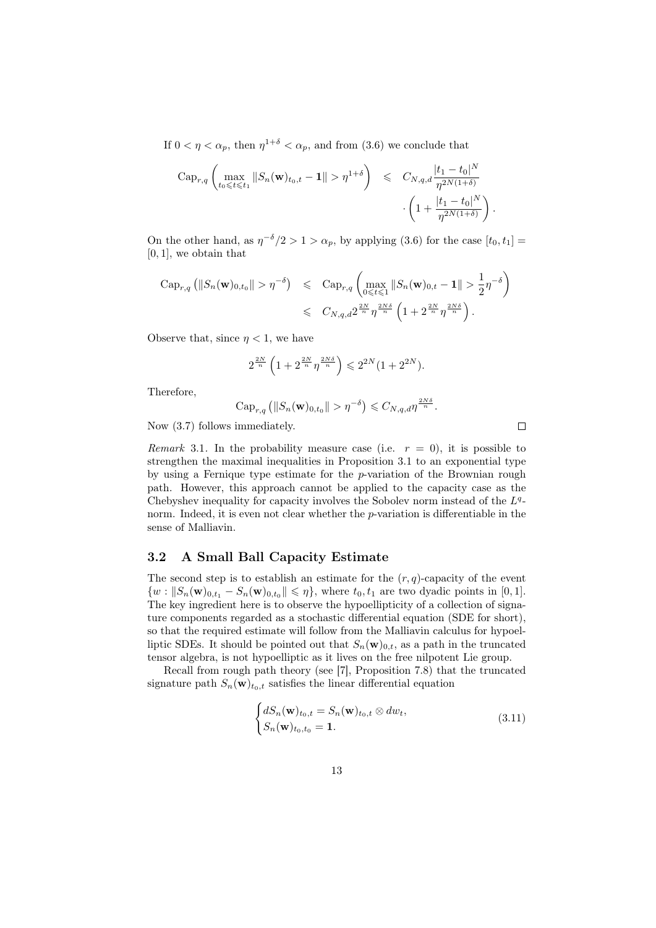If  $0 < \eta < \alpha_p$ , then  $\eta^{1+\delta} < \alpha_p$ , and from (3.6) we conclude that

$$
\begin{array}{lcl} \displaystyle {\rm Cap}_{r,q}\left(\max_{t_0\leqslant t\leqslant t_1}\|S_n({\bf w})_{t_0,t}-1\|>\eta^{1+\delta}\right) & \leqslant & \displaystyle C_{N,q,d}\frac{|t_1-t_0|^N}{\eta^{2N(1+\delta)}}\\ & & \displaystyle \cdot \left(1+\frac{|t_1-t_0|^N}{\eta^{2N(1+\delta)}}\right). \end{array}
$$

On the other hand, as  $\eta^{-\delta}/2 > 1 > \alpha_p$ , by applying (3.6) for the case  $[t_0, t_1] =$ [0, 1], we obtain that

$$
\begin{array}{rcl}\n\mathrm{Cap}_{r,q}\left(\|S_n(\mathbf{w})_{0,t_0}\|>\eta^{-\delta}\right) & \leqslant & \mathrm{Cap}_{r,q}\left(\max_{0\leqslant t\leqslant 1}\|S_n(\mathbf{w})_{0,t}-1\|>\frac{1}{2}\eta^{-\delta}\right) \\
& \leqslant & C_{N,q,d}2^{\frac{2N}{n}}\eta^{\frac{2N\delta}{n}}\left(1+2^{\frac{2N}{n}}\eta^{\frac{2N\delta}{n}}\right).\n\end{array}
$$

Observe that, since  $\eta < 1$ , we have

$$
2^{\frac{2N}{n}} \left( 1 + 2^{\frac{2N}{n}} \eta^{\frac{2N\delta}{n}} \right) \leq 2^{2N} (1 + 2^{2N}).
$$

Therefore,

$$
\mathrm{Cap}_{r,q}\left(\|S_n(\mathbf{w})_{0,t_0}\|>\eta^{-\delta}\right)\leqslant C_{N,q,d}\eta^{\frac{2N\delta}{n}}.
$$

 $\Box$ 

Now (3.7) follows immediately.

Remark 3.1. In the probability measure case (i.e.  $r = 0$ ), it is possible to strengthen the maximal inequalities in Proposition 3.1 to an exponential type by using a Fernique type estimate for the p-variation of the Brownian rough path. However, this approach cannot be applied to the capacity case as the Chebyshev inequality for capacity involves the Sobolev norm instead of the  $L<sup>q</sup>$ norm. Indeed, it is even not clear whether the p-variation is differentiable in the sense of Malliavin.

### 3.2 A Small Ball Capacity Estimate

The second step is to establish an estimate for the  $(r, q)$ -capacity of the event  $\{w: ||S_n(\mathbf{w})_{0,t_1} - S_n(\mathbf{w})_{0,t_0}|| \leq \eta\},\$  where  $t_0, t_1$  are two dyadic points in [0, 1]. The key ingredient here is to observe the hypoellipticity of a collection of signature components regarded as a stochastic differential equation (SDE for short), so that the required estimate will follow from the Malliavin calculus for hypoelliptic SDEs. It should be pointed out that  $S_n(\mathbf{w})_{0,t}$ , as a path in the truncated tensor algebra, is not hypoelliptic as it lives on the free nilpotent Lie group.

Recall from rough path theory (see [7], Proposition 7.8) that the truncated signature path  $S_n(\mathbf{w})_{t_0,t}$  satisfies the linear differential equation

$$
\begin{cases} dS_n(\mathbf{w})_{t_0,t} = S_n(\mathbf{w})_{t_0,t} \otimes dw_t, \\ S_n(\mathbf{w})_{t_0,t_0} = \mathbf{1}. \end{cases}
$$
(3.11)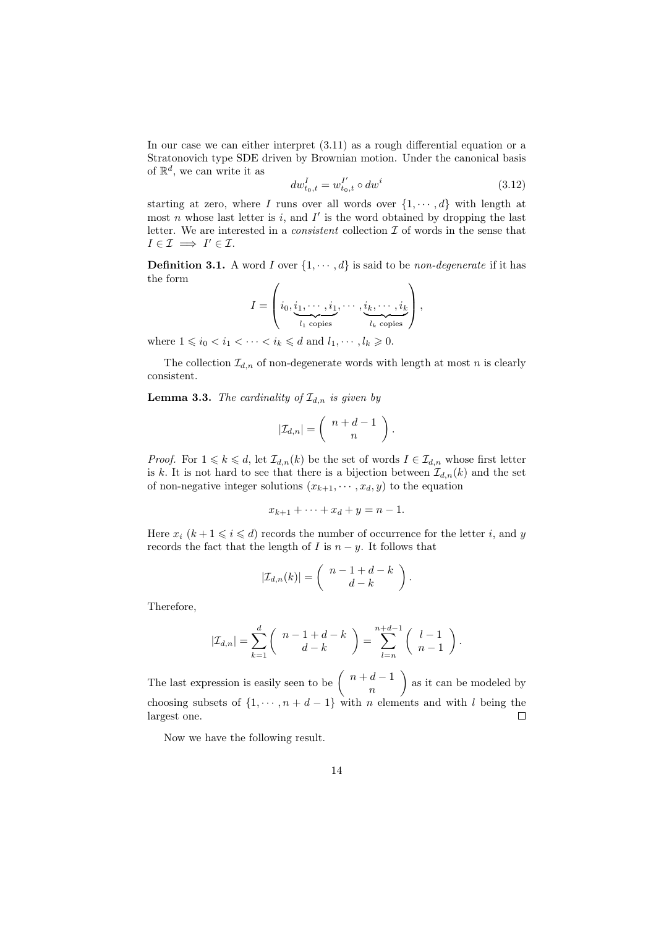In our case we can either interpret (3.11) as a rough differential equation or a Stratonovich type SDE driven by Brownian motion. Under the canonical basis of  $\mathbb{R}^d$ , we can write it as

$$
dw_{t_0,t}^I = w_{t_0,t}^{I'} \circ dw^i \tag{3.12}
$$

starting at zero, where I runs over all words over  $\{1, \dots, d\}$  with length at most n whose last letter is  $i$ , and  $I'$  is the word obtained by dropping the last letter. We are interested in a *consistent* collection  $\mathcal I$  of words in the sense that  $I \in \mathcal{I} \implies I' \in \mathcal{I}.$ 

**Definition 3.1.** A word I over  $\{1, \dots, d\}$  is said to be non-degenerate if it has the form

$$
I = \left(i_0, \underbrace{i_1, \cdots, i_1}_{l_1 \text{ copies}}, \cdots, \underbrace{i_k, \cdots, i_k}_{l_k \text{ copies}}\right),
$$

where  $1 \leq i_0 < i_1 < \cdots < i_k \leq d$  and  $l_1, \cdots, l_k \geq 0$ .

The collection  $\mathcal{I}_{d,n}$  of non-degenerate words with length at most n is clearly consistent.

**Lemma 3.3.** The cardinality of  $\mathcal{I}_{d,n}$  is given by

$$
|\mathcal{I}_{d,n}| = \left(\begin{array}{c} n+d-1\\ n \end{array}\right).
$$

*Proof.* For  $1 \leq k \leq d$ , let  $\mathcal{I}_{d,n}(k)$  be the set of words  $I \in \mathcal{I}_{d,n}$  whose first letter is k. It is not hard to see that there is a bijection between  $\mathcal{I}_{d,n}(k)$  and the set of non-negative integer solutions  $(x_{k+1}, \dots, x_d, y)$  to the equation

$$
x_{k+1} + \dots + x_d + y = n - 1.
$$

Here  $x_i$   $(k+1 \leq i \leq d)$  records the number of occurrence for the letter i, and y records the fact that the length of I is  $n - y$ . It follows that

$$
|\mathcal{I}_{d,n}(k)| = \left( \begin{array}{c} n-1+d-k \\ d-k \end{array} \right).
$$

Therefore,

$$
|\mathcal{I}_{d,n}| = \sum_{k=1}^d \binom{n-1+d-k}{d-k} = \sum_{l=n}^{n+d-1} \binom{l-1}{n-1}.
$$

The last expression is easily seen to be  $\begin{pmatrix} n+d-1 \\ n \end{pmatrix}$  as it can be modeled by n choosing subsets of  $\{1, \dots, n + d - 1\}$  with n elements and with l being the largest one.  $\Box$ 

Now we have the following result.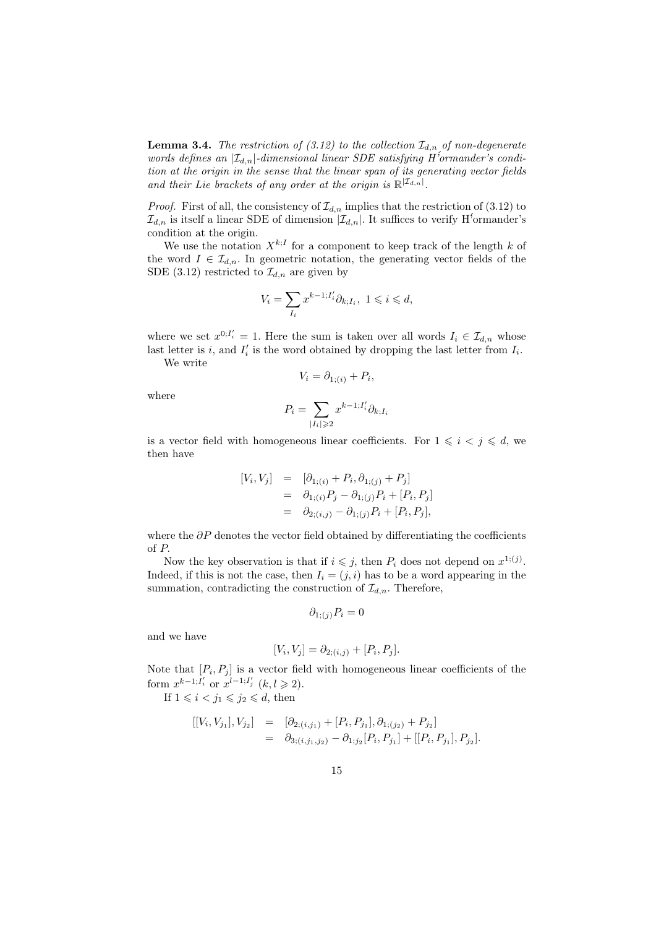**Lemma 3.4.** The restriction of (3.12) to the collection  $\mathcal{I}_{d,n}$  of non-degenerate words defines an  $|\mathcal{I}_{d,n}|$ -dimensional linear SDE satisfying H<sup>5</sup>ormander's condition at the origin in the sense that the linear span of its generating vector fields and their Lie brackets of any order at the origin is  $\mathbb{R}^{|\mathcal{I}_{d,n}|}$ .

*Proof.* First of all, the consistency of  $\mathcal{I}_{d,n}$  implies that the restriction of (3.12) to  $\mathcal{I}_{d,n}$  is itself a linear SDE of dimension  $|\mathcal{I}_{d,n}|$ . It suffices to verify H<sup>5</sup>ormander's condition at the origin.

We use the notation  $X^{k;I}$  for a component to keep track of the length k of the word  $I \in \mathcal{I}_{d,n}$ . In geometric notation, the generating vector fields of the SDE (3.12) restricted to  $\mathcal{I}_{d,n}$  are given by

$$
V_i = \sum_{I_i} x^{k-1;I'_i} \partial_{k;I_i}, \ 1 \leqslant i \leqslant d,
$$

where we set  $x^{0;I'_i} = 1$ . Here the sum is taken over all words  $I_i \in \mathcal{I}_{d,n}$  whose last letter is i, and  $I'_i$  is the word obtained by dropping the last letter from  $I_i$ .

We write

$$
V_i = \partial_{1;(i)} + P_i,
$$

where

$$
P_i = \sum_{|I_i| \geqslant 2} x^{k-1;I_i'} \partial_{k;I_i}
$$

is a vector field with homogeneous linear coefficients. For  $1 \leq i \leq j \leq d$ , we then have

$$
[V_i, V_j] = [ \partial_{1;(i)} + P_i, \partial_{1;(j)} + P_j ]
$$
  
=  $\partial_{1;(i)} P_j - \partial_{1;(j)} P_i + [P_i, P_j ]$   
=  $\partial_{2;(i,j)} - \partial_{1;(j)} P_i + [P_i, P_j ]$ ,

where the  $\partial P$  denotes the vector field obtained by differentiating the coefficients of P.

Now the key observation is that if  $i \leq j$ , then  $P_i$  does not depend on  $x^{1;(j)}$ . Indeed, if this is not the case, then  $I_i = (j, i)$  has to be a word appearing in the summation, contradicting the construction of  $\mathcal{I}_{d,n}$ . Therefore,

$$
\partial_{1;(j)}P_i=0
$$

and we have

$$
V_i, V_j] = \partial_{2;(i,j)} + [P_i, P_j].
$$

Note that  $[P_i, P_j]$  is a vector field with homogeneous linear coefficients of the form  $x^{k-1;I'_{i}}$  or  $x^{l-1;I'_{j}}$   $(k, l \geq 2)$ .

If  $1 \leq i \leq j_1 \leq j_2 \leq d$ , then

 $\sqrt{2}$ 

$$
\begin{array}{rcl}\n[[V_i, V_{j_1}], V_{j_2}] & = & [\partial_{2;(i,j_1)} + [P_i, P_{j_1}], \partial_{1;(j_2)} + P_{j_2}] \\
& = & \partial_{3;(i,j_1,j_2)} - \partial_{1;j_2} [P_i, P_{j_1}] + [[P_i, P_{j_1}], P_{j_2}].\n\end{array}
$$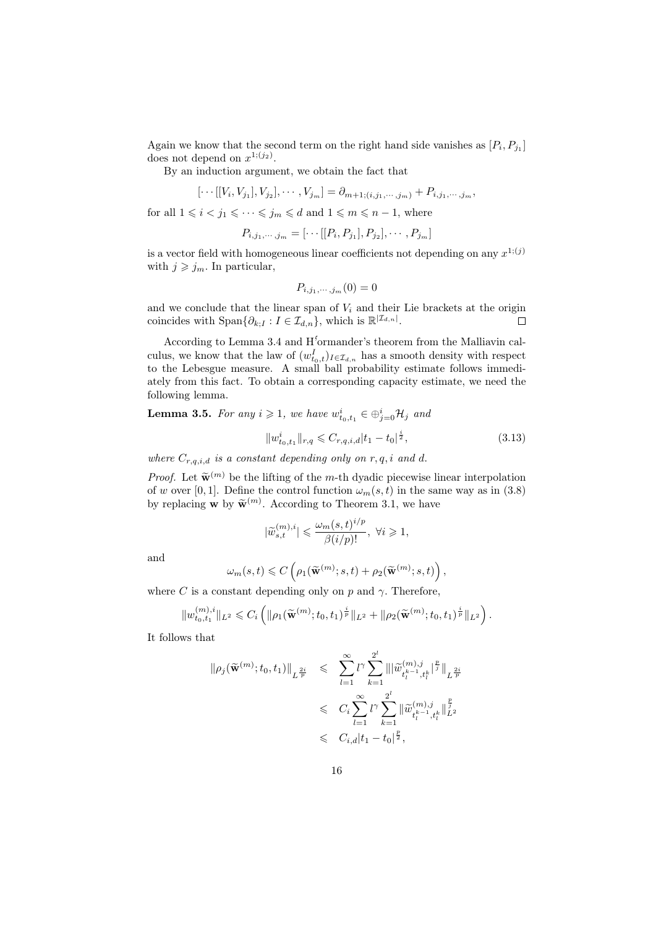Again we know that the second term on the right hand side vanishes as  $[P_i, P_{j_1}]$ does not depend on  $x^{1;(j_2)}$ .

By an induction argument, we obtain the fact that

$$
[\cdots[[V_i,V_{j_1}],V_{j_2}],\cdots,V_{j_m}]=\partial_{m+1,(i,j_1,\cdots,j_m)}+P_{i,j_1,\cdots,j_m},
$$

for all  $1 \leq i \leq j_1 \leq \cdots \leq j_m \leq d$  and  $1 \leq m \leq n-1$ , where

$$
P_{i,j_1,\dots,j_m} = [\dots[[P_i, P_{j_1}], P_{j_2}], \dots, P_{j_m}]
$$

is a vector field with homogeneous linear coefficients not depending on any  $x^{1;(j)}$ with  $j \geq j_m$ . In particular,

$$
P_{i,j_1,\cdots,j_m}(0)=0
$$

and we conclude that the linear span of  $V_i$  and their Lie brackets at the origin coincides with Span $\{\partial_{k,I} : I \in \mathcal{I}_{d,n}\},\$  which is  $\mathbb{R}^{|\mathcal{I}_{d,n}|}.$  $\Box$ 

According to Lemma 3.4 and  $H'$ ormander's theorem from the Malliavin calculus, we know that the law of  $(w_{t_0,t}^I)_{I \in \mathcal{I}_{d,n}}$  has a smooth density with respect to the Lebesgue measure. A small ball probability estimate follows immediately from this fact. To obtain a corresponding capacity estimate, we need the following lemma.

**Lemma 3.5.** For any  $i \geqslant 1$ , we have  $w_{t_0,t_1}^i \in \bigoplus_{j=0}^i \mathcal{H}_j$  and

$$
||w_{t_0,t_1}^i||_{r,q} \leq C_{r,q,i,d}|t_1-t_0|^{\frac{i}{2}},
$$
\n(3.13)

where  $C_{r,q,i,d}$  is a constant depending only on  $r, q, i$  and d.

*Proof.* Let  $\widetilde{\mathbf{w}}^{(m)}$  be the lifting of the *m*-th dyadic piecewise linear interpolation of w over [0, 1]. Define the control function  $\omega$ ,  $(e, t)$  in the same way as in (3,8) of w over [0, 1]. Define the control function  $\omega_m(s,t)$  in the same way as in (3.8) by replacing **w** by  $\widetilde{\mathbf{w}}^{(m)}$ . According to Theorem 3.1, we have

$$
|\widetilde{w}_{s,t}^{(m),i}| \leqslant \frac{\omega_m(s,t)^{i/p}}{\beta(i/p)!}, \ \forall i \geqslant 1,
$$

and

$$
\omega_m(s,t) \leqslant C\left(\rho_1(\widetilde{\mathbf{w}}^{(m)};s,t)+\rho_2(\widetilde{\mathbf{w}}^{(m)};s,t)\right),
$$

where C is a constant depending only on p and  $\gamma$ . Therefore,

$$
||w_{t_0,t_1}^{(m),i}||_{L^2}\leqslant C_i \left(||\rho_1(\widetilde{\mathbf{w}}^{(m)};t_0,t_1)^{\frac{i}{p}}||_{L^2}+||\rho_2(\widetilde{\mathbf{w}}^{(m)};t_0,t_1)^{\frac{i}{p}}||_{L^2}\right).
$$

It follows that

$$
\begin{array}{rcl} \|\rho_j(\widetilde{\mathbf{w}}^{(m)};t_0,t_1)\|_{L^{\frac{2i}{p}}} & \leqslant & \displaystyle \sum_{l=1}^{\infty} l^{\gamma} \sum_{k=1}^{2^l} \||\widetilde{w}^{(m),j}_{t_l^{k-1},t_l^{k}}|^{\frac{p}{j}}\|_{L^{\frac{2i}{p}}}\\ & \leqslant & C_i \sum_{l=1}^{\infty} l^{\gamma} \sum_{k=1}^{2^l} \|\widetilde{w}^{(m),j}_{t_l^{k-1},t_l^{k}}\|_{L^2}^{\frac{p}{j}}\\ & \leqslant & C_{i,d}|t_1-t_0|^{\frac{p}{2}}, \end{array}
$$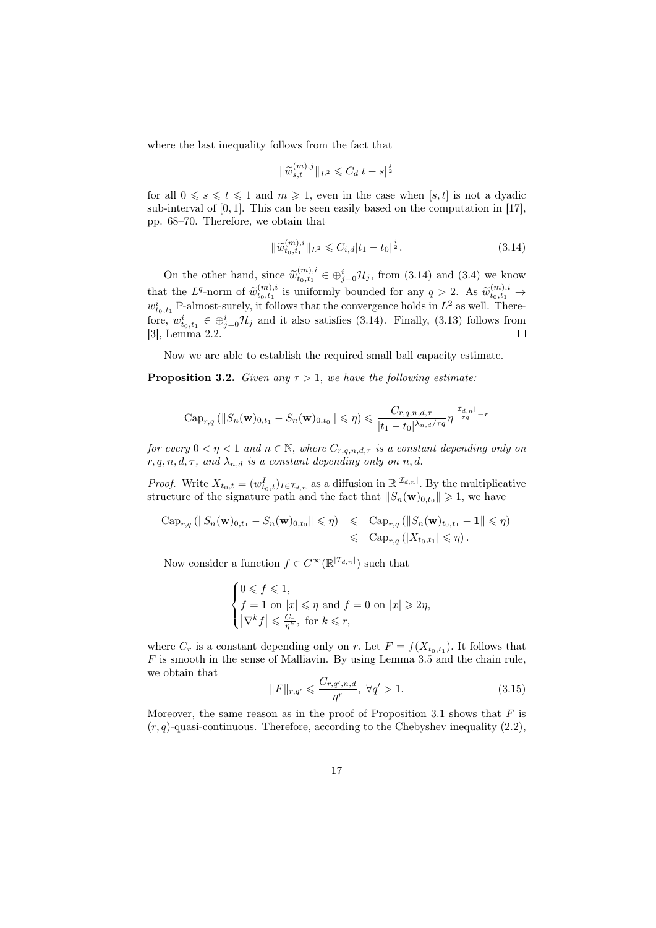where the last inequality follows from the fact that

$$
\|\widetilde{w}_{s,t}^{(m),j}\|_{L^2}\leqslant C_d|t-s|^{\frac{j}{2}}
$$

for all  $0 \le s \le t \le 1$  and  $m \ge 1$ , even in the case when [s, t] is not a dyadic sub-interval of  $[0, 1]$ . This can be seen easily based on the computation in [17], pp. 68–70. Therefore, we obtain that

$$
\|\widetilde{w}_{t_0,t_1}^{(m),i}\|_{L^2} \leqslant C_{i,d}|t_1-t_0|^{\frac{i}{2}}.
$$
\n(3.14)

On the other hand, since  $\widetilde{w}_{t_0,t_1}^{(m),i} \in \oplus_{j=0}^i \mathcal{H}_j$ , from (3.14) and (3.4) we know that the  $L^q$ -norm of  $\widetilde{w}_{i_0,i_1}^{(m),i}$  is uniformly bounded for any  $q > 2$ . As  $\widetilde{w}_{i_0,i_1}^{(m),i} \rightarrow$  $w_{t_0,t_1}^i$  P-almost-surely, it follows that the convergence holds in  $L^2$  as well. Therefore,  $w_{t_0,t_1}^i \in \bigoplus_{j=0}^i \mathcal{H}_j$  and it also satisfies (3.14). Finally, (3.13) follows from [3], Lemma 2.2.  $\Box$ 

Now we are able to establish the required small ball capacity estimate.

**Proposition 3.2.** Given any  $\tau > 1$ , we have the following estimate:

$$
\mathrm{Cap}_{r,q}\left(\|S_n(\mathbf{w})_{0,t_1}-S_n(\mathbf{w})_{0,t_0}\|\leqslant \eta\right)\leqslant \frac{C_{r,q,n,d,\tau}}{|t_1-t_0|^{\lambda_{n,d}/\tau q}}\eta^{\frac{|\mathcal{I}_{d,n}|}{\tau q}-r}
$$

for every  $0 < \eta < 1$  and  $n \in \mathbb{N}$ , where  $C_{r,q,n,d,\tau}$  is a constant depending only on  $r, q, n, d, \tau$ , and  $\lambda_{n,d}$  is a constant depending only on n, d.

*Proof.* Write  $X_{t_0,t} = (w_{t_0,t}^I)_{I \in \mathcal{I}_{d,n}}$  as a diffusion in  $\mathbb{R}^{|\mathcal{I}_{d,n}|}$ . By the multiplicative structure of the signature path and the fact that  $||S_n(\mathbf{w})_{0,t_0}|| \geq 1$ , we have

$$
\begin{array}{rcl}\n\mathrm{Cap}_{r,q} \left( \|S_n(\mathbf{w})_{0,t_1} - S_n(\mathbf{w})_{0,t_0} \| \leqslant \eta \right) & \leqslant & \mathrm{Cap}_{r,q} \left( \|S_n(\mathbf{w})_{t_0,t_1} - 1 \| \leqslant \eta \right) \\
& \leqslant & \mathrm{Cap}_{r,q} \left( |X_{t_0,t_1}| \leqslant \eta \right).\n\end{array}
$$

Now consider a function  $f \in C^{\infty}(\mathbb{R}^{|\mathcal{I}_{d,n}|})$  such that

$$
\begin{cases} 0 \leqslant f \leqslant 1, \\ f = 1 \text{ on } |x| \leqslant \eta \text{ and } f = 0 \text{ on } |x| \geqslant 2\eta, \\ |\nabla^k f| \leqslant \frac{C_r}{\eta^k}, \text{ for } k \leqslant r, \end{cases}
$$

where  $C_r$  is a constant depending only on r. Let  $F = f(X_{t_0,t_1})$ . It follows that  $F$  is smooth in the sense of Malliavin. By using Lemma 3.5 and the chain rule, we obtain that

$$
||F||_{r,q'} \leqslant \frac{C_{r,q',n,d}}{\eta^r}, \ \forall q' > 1.
$$
\n
$$
(3.15)
$$

Moreover, the same reason as in the proof of Proposition 3.1 shows that  $F$  is  $(r, q)$ -quasi-continuous. Therefore, according to the Chebyshev inequality  $(2.2)$ ,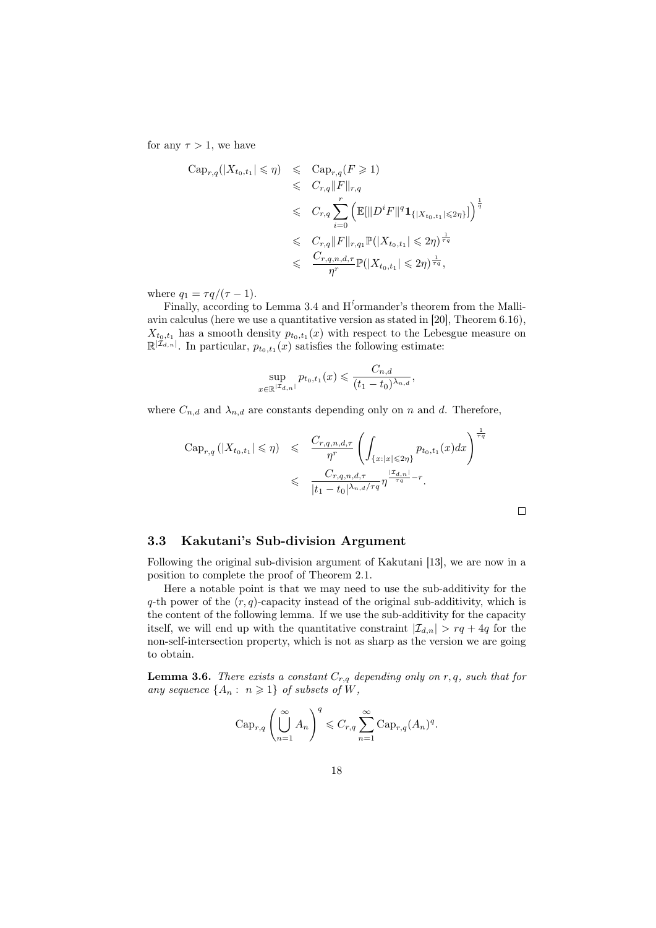for any  $\tau > 1$ , we have

$$
\begin{array}{rcl}\n\text{Cap}_{r,q}(|X_{t_0,t_1}| \leqslant \eta) & \leqslant & \text{Cap}_{r,q}(F \geqslant 1) \\
& \leqslant & C_{r,q} \|F\|_{r,q} \\
& \leqslant & C_{r,q} \sum_{i=0}^r \left( \mathbb{E}[\|D^i F\|^q \mathbf{1}_{\{|X_{t_0,t_1}| \leqslant 2\eta\}}] \right)^{\frac{1}{q}} \\
& \leqslant & C_{r,q} \|F\|_{r,q_1} \mathbb{P}(|X_{t_0,t_1}| \leqslant 2\eta)^{\frac{1}{\tau q}} \\
& \leqslant & \frac{C_{r,q,n,d,\tau}}{\eta^r} \mathbb{P}(|X_{t_0,t_1}| \leqslant 2\eta)^{\frac{1}{\tau q}},\n\end{array}
$$

where  $q_1 = \tau q/(\tau - 1)$ .

Finally, according to Lemma 3.4 and H<sup>5</sup>ormander's theorem from the Malliavin calculus (here we use a quantitative version as stated in [20], Theorem 6.16),  $X_{t_0,t_1}$  has a smooth density  $p_{t_0,t_1}(x)$  with respect to the Lebesgue measure on  $\mathbb{R}^{|\mathcal{I}_{d,n}|}$ . In particular,  $p_{t_0,t_1}(x)$  satisfies the following estimate:

$$
\sup_{x \in \mathbb{R}^{|\mathcal{I}_{d,n}|}} p_{t_0,t_1}(x) \leq \frac{C_{n,d}}{(t_1-t_0)^{\lambda_{n,d}}},
$$

where  $C_{n,d}$  and  $\lambda_{n,d}$  are constants depending only on n and d. Therefore,

$$
\begin{array}{rcl}\n\text{Cap}_{r,q}\left(|X_{t_0,t_1}| \leqslant \eta\right) & \leqslant & \frac{C_{r,q,n,d,\tau}}{\eta^r} \left( \int_{\{x: |x| \leqslant 2\eta\}} p_{t_0,t_1}(x) dx \right)^{\frac{1}{\tau q}} \\
& \leqslant & \frac{C_{r,q,n,d,\tau}}{|t_1 - t_0|^{\lambda_{n,d}/\tau q}} \eta^{\frac{|\mathcal{I}_{d,n}|}{\tau q} - r}.\n\end{array}
$$

#### 3.3 Kakutani's Sub-division Argument

Following the original sub-division argument of Kakutani [13], we are now in a position to complete the proof of Theorem 2.1.

Here a notable point is that we may need to use the sub-additivity for the  $q$ -th power of the  $(r, q)$ -capacity instead of the original sub-additivity, which is the content of the following lemma. If we use the sub-additivity for the capacity itself, we will end up with the quantitative constraint  $|\mathcal{I}_{d,n}| > rq + 4q$  for the non-self-intersection property, which is not as sharp as the version we are going to obtain.

**Lemma 3.6.** There exists a constant  $C_{r,q}$  depending only on r, q, such that for any sequence  $\{A_n : n \geq 1\}$  of subsets of W,

$$
\operatorname{Cap}_{r,q}\left(\bigcup_{n=1}^{\infty} A_n\right)^q \leqslant C_{r,q} \sum_{n=1}^{\infty} \operatorname{Cap}_{r,q}(A_n)^q.
$$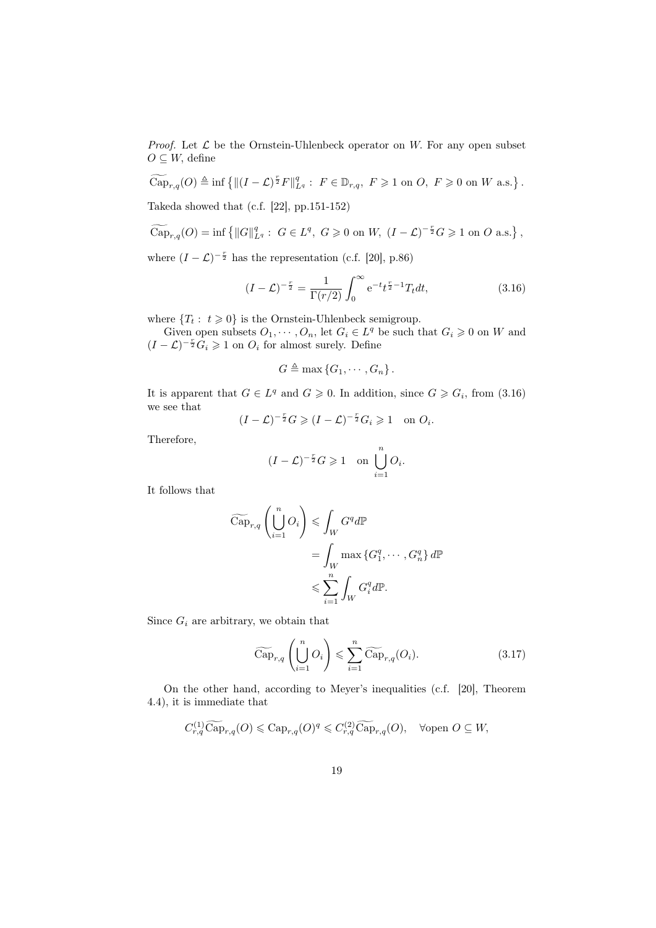*Proof.* Let  $\mathcal L$  be the Ornstein-Uhlenbeck operator on W. For any open subset  $O \subseteq W$ , define

$$
\widetilde{\mathrm{Cap}}_{r,q}(O) \triangleq \inf \left\{ \|(I-\mathcal{L})^{\frac{r}{2}}F\|_{L^q}^q : \ F \in \mathbb{D}_{r,q}, \ F \geq 1 \text{ on } O, \ F \geq 0 \text{ on } W \text{ a.s.} \right\}.
$$

Takeda showed that (c.f. [22], pp.151-152)

$$
\widetilde{\text{Cap}}_{r,q}(O) = \inf \left\{ \|G\|_{L^q}^q : G \in L^q, \ G \geq 0 \text{ on } W, \ (I - \mathcal{L})^{-\frac{r}{2}} G \geq 1 \text{ on } O \text{ a.s.} \right\},\
$$

where  $(I - \mathcal{L})^{-\frac{r}{2}}$  has the representation (c.f. [20], p.86)

$$
(I - \mathcal{L})^{-\frac{r}{2}} = \frac{1}{\Gamma(r/2)} \int_0^\infty e^{-t} t^{\frac{r}{2} - 1} T_t dt,
$$
\n(3.16)

where  $\{T_t : t \geq 0\}$  is the Ornstein-Uhlenbeck semigroup.

Given open subsets  $O_1, \dots, O_n$ , let  $G_i \in L^q$  be such that  $G_i \geq 0$  on W and  $(I - \mathcal{L})^{-\frac{r}{2}} G_i \geq 1$  on  $O_i$  for almost surely. Define

$$
G \triangleq \max\left\{G_1, \cdots, G_n\right\}.
$$

It is apparent that  $G \in L^q$  and  $G \geqslant 0$ . In addition, since  $G \geqslant G_i$ , from  $(3.16)$ we see that

$$
(I-\mathcal{L})^{-\frac{r}{2}}G \geqslant (I-\mathcal{L})^{-\frac{r}{2}}G_i \geqslant 1 \quad \text{on } O_i.
$$

Therefore,

$$
(I-\mathcal{L})^{-\frac{r}{2}}G\geqslant 1 \quad \text{on } \bigcup_{i=1}^{n} O_{i}.
$$

It follows that

$$
\widetilde{\text{Cap}}_{r,q} \left( \bigcup_{i=1}^{n} O_i \right) \leqslant \int_W G^q d\mathbb{P}
$$
\n
$$
= \int_W \max \left\{ G_1^q, \cdots, G_n^q \right\} d\mathbb{P}
$$
\n
$$
\leqslant \sum_{i=1}^n \int_W G_i^q d\mathbb{P}.
$$

Since  $G_i$  are arbitrary, we obtain that

$$
\widetilde{\text{Cap}}_{r,q}\left(\bigcup_{i=1}^{n} O_i\right) \leqslant \sum_{i=1}^{n} \widetilde{\text{Cap}}_{r,q}(O_i). \tag{3.17}
$$

On the other hand, according to Meyer's inequalities (c.f. [20], Theorem 4.4), it is immediate that

$$
C_{r,q}^{(1)}\widetilde{\text{Cap}}_{r,q}(O) \leqslant \text{Cap}_{r,q}(O)^q \leqslant C_{r,q}^{(2)}\widetilde{\text{Cap}}_{r,q}(O), \quad \text{Yopen } O \subseteq W,
$$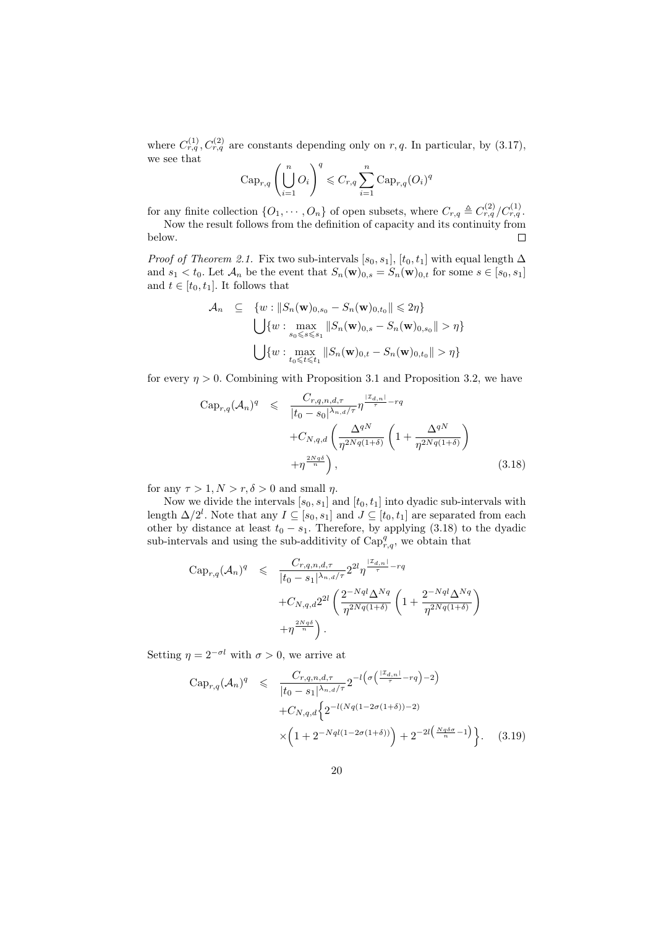where  $C_{r,q}^{(1)}$ ,  $C_{r,q}^{(2)}$  are constants depending only on r, q. In particular, by (3.17), we see that

$$
\textup{Cap}_{r,q}\left(\bigcup_{i=1}^n O_i\right)^q \leqslant C_{r,q}\sum_{i=1}^n \textup{Cap}_{r,q}(O_i)^q
$$

for any finite collection  $\{O_1, \cdots, O_n\}$  of open subsets, where  $C_{r,q} \triangleq C_{r,q}^{(2)}/C_{r,q}^{(1)}$ .

Now the result follows from the definition of capacity and its continuity from below.  $\Box$ 

*Proof of Theorem 2.1.* Fix two sub-intervals [ $s_0, s_1$ ], [ $t_0, t_1$ ] with equal length  $\Delta$ and  $s_1 < t_0$ . Let  $\mathcal{A}_n$  be the event that  $S_n(\mathbf{w})_{0,s} = S_n(\mathbf{w})_{0,t}$  for some  $s \in [s_0, s_1]$ and  $t \in [t_0, t_1]$ . It follows that

$$
\mathcal{A}_n \subseteq \{w : ||S_n(\mathbf{w})_{0,s_0} - S_n(\mathbf{w})_{0,t_0}|| \leq 2\eta\}
$$
  

$$
\bigcup \{w : \max_{s_0 \leq s \leq s_1} ||S_n(\mathbf{w})_{0,s} - S_n(\mathbf{w})_{0,s_0}|| > \eta\}
$$
  

$$
\bigcup \{w : \max_{t_0 \leq t \leq t_1} ||S_n(\mathbf{w})_{0,t} - S_n(\mathbf{w})_{0,t_0}|| > \eta\}
$$

for every  $\eta > 0$ . Combining with Proposition 3.1 and Proposition 3.2, we have

$$
\text{Cap}_{r,q}(\mathcal{A}_n)^q \leq \frac{C_{r,q,n,d,\tau}}{|t_0 - s_0|^{\lambda_{n,d}/\tau}} \eta^{\frac{|\mathcal{I}_{d,n}|}{\tau} - rq} + C_{N,q,d} \left( \frac{\Delta^{qN}}{\eta^{2Nq(1+\delta)}} \left( 1 + \frac{\Delta^{qN}}{\eta^{2Nq(1+\delta)}} \right) + \eta^{\frac{2Nq\delta}{n}} \right), \tag{3.18}
$$

for any  $\tau > 1, N > r, \delta > 0$  and small  $\eta$ .

Now we divide the intervals  $[s_0, s_1]$  and  $[t_0, t_1]$  into dyadic sub-intervals with length  $\Delta/2^l$ . Note that any  $I \subseteq [s_0, s_1]$  and  $J \subseteq [t_0, t_1]$  are separated from each other by distance at least  $t_0 - s_1$ . Therefore, by applying (3.18) to the dyadic sub-intervals and using the sub-additivity of  $\text{Cap}_{r,q}^q$ , we obtain that

$$
Cap_{r,q}(\mathcal{A}_n)^q \leq \frac{C_{r,q,n,d,\tau}}{|t_0 - s_1|^{\lambda_{n,d}/\tau}} 2^{2l} \eta^{\frac{|\mathcal{I}_{d,n}|}{\tau} - rq}
$$
  
+ $C_{N,q,d} 2^{2l} \left( \frac{2^{-Nql} \Delta^N q}{\eta^{2Nq(1+\delta)}} \left( 1 + \frac{2^{-Nql} \Delta^N q}{\eta^{2Nq(1+\delta)}} \right) + \eta^{\frac{2Nq\delta}{n}} \right).$ 

Setting  $\eta = 2^{-\sigma l}$  with  $\sigma > 0$ , we arrive at

$$
\text{Cap}_{r,q}(\mathcal{A}_n)^q \leq \frac{C_{r,q,n,d,\tau}}{|t_0 - s_1|^{\lambda_{n,d}/\tau}} 2^{-l \left( \sigma \left( \frac{|I_{d,n}|}{\tau} - rq \right) - 2 \right)} + C_{N,q,d} \left\{ 2^{-l(Nq(1 - 2\sigma(1+\delta)) - 2)} \times \left( 1 + 2^{-Nql(1 - 2\sigma(1+\delta))} \right) + 2^{-2l \left( \frac{Nq\delta\sigma}{n} - 1 \right)} \right\}. \tag{3.19}
$$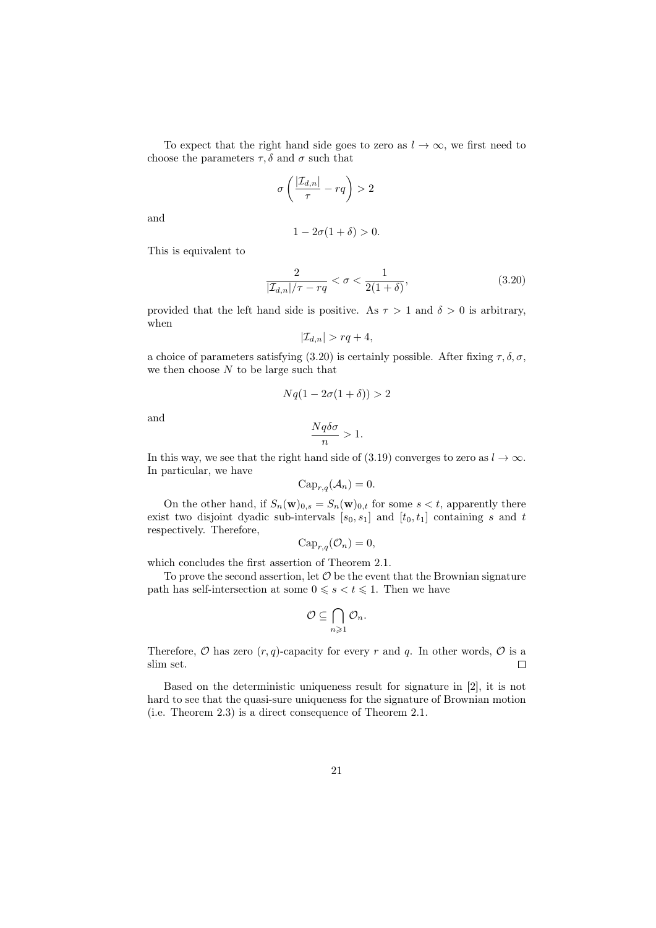To expect that the right hand side goes to zero as  $l \to \infty$ , we first need to choose the parameters  $\tau$ ,  $\delta$  and  $\sigma$  such that

$$
\sigma\left(\frac{|\mathcal{I}_{d,n}|}{\tau}-rq\right)>2
$$

and

$$
1 - 2\sigma(1 + \delta) > 0.
$$

This is equivalent to

$$
\frac{2}{|\mathcal{I}_{d,n}|/\tau - rq} < \sigma < \frac{1}{2(1+\delta)},\tag{3.20}
$$

provided that the left hand side is positive. As  $\tau > 1$  and  $\delta > 0$  is arbitrary, when

$$
|\mathcal{I}_{d,n}| > rq+4,
$$

a choice of parameters satisfying (3.20) is certainly possible. After fixing  $\tau$ ,  $\delta$ ,  $\sigma$ , we then choose  $N$  to be large such that

$$
Nq(1 - 2\sigma(1 + \delta)) > 2
$$

and

$$
\frac{Nq\delta\sigma}{n}>1.
$$

In this way, we see that the right hand side of (3.19) converges to zero as  $l \to \infty$ . In particular, we have

$$
\mathrm{Cap}_{r,q}(\mathcal{A}_n)=0.
$$

On the other hand, if  $S_n(\mathbf{w})_{0,s} = S_n(\mathbf{w})_{0,t}$  for some  $s < t$ , apparently there exist two disjoint dyadic sub-intervals  $[s_0, s_1]$  and  $[t_0, t_1]$  containing s and t respectively. Therefore,

$$
Cap_{r,q}(\mathcal{O}_n)=0,
$$

which concludes the first assertion of Theorem 2.1.

To prove the second assertion, let  $\mathcal O$  be the event that the Brownian signature path has self-intersection at some  $0 \le s < t \le 1$ . Then we have

$$
\mathcal{O} \subseteq \bigcap_{n \geqslant 1} \mathcal{O}_n.
$$

Therefore,  $O$  has zero  $(r, q)$ -capacity for every r and q. In other words,  $O$  is a slim set.  $\Box$ 

Based on the deterministic uniqueness result for signature in [2], it is not hard to see that the quasi-sure uniqueness for the signature of Brownian motion (i.e. Theorem 2.3) is a direct consequence of Theorem 2.1.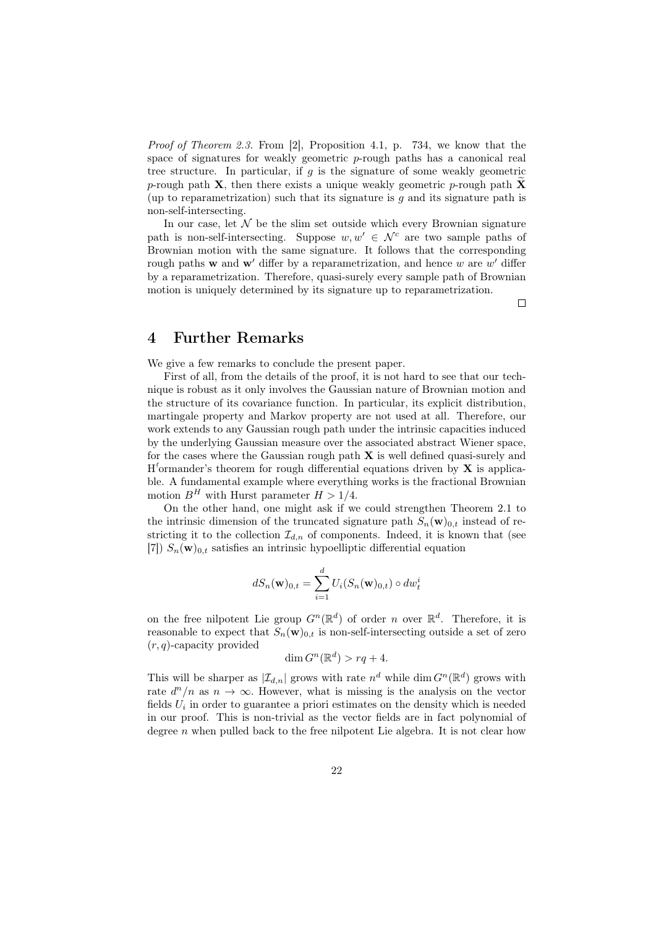Proof of Theorem 2.3. From [2], Proposition 4.1, p. 734, we know that the space of signatures for weakly geometric p-rough paths has a canonical real tree structure. In particular, if  $g$  is the signature of some weakly geometric p-rough path  $X$ , then there exists a unique weakly geometric p-rough path  $X$ (up to reparametrization) such that its signature is  $g$  and its signature path is non-self-intersecting.

In our case, let  $\mathcal N$  be the slim set outside which every Brownian signature path is non-self-intersecting. Suppose  $w, w' \in \mathcal{N}^c$  are two sample paths of Brownian motion with the same signature. It follows that the corresponding rough paths w and w' differ by a reparametrization, and hence w are  $w'$  differ by a reparametrization. Therefore, quasi-surely every sample path of Brownian motion is uniquely determined by its signature up to reparametrization.

 $\Box$ 

## 4 Further Remarks

We give a few remarks to conclude the present paper.

First of all, from the details of the proof, it is not hard to see that our technique is robust as it only involves the Gaussian nature of Brownian motion and the structure of its covariance function. In particular, its explicit distribution, martingale property and Markov property are not used at all. Therefore, our work extends to any Gaussian rough path under the intrinsic capacities induced by the underlying Gaussian measure over the associated abstract Wiener space, for the cases where the Gaussian rough path X is well defined quasi-surely and H<sup>5</sup>ormander's theorem for rough differential equations driven by  $X$  is applicable. A fundamental example where everything works is the fractional Brownian motion  $B<sup>H</sup>$  with Hurst parameter  $H > 1/4$ .

On the other hand, one might ask if we could strengthen Theorem 2.1 to the intrinsic dimension of the truncated signature path  $S_n(\mathbf{w})_{0,t}$  instead of restricting it to the collection  $\mathcal{I}_{d,n}$  of components. Indeed, it is known that (see [7])  $S_n(\mathbf{w})_{0,t}$  satisfies an intrinsic hypoelliptic differential equation

$$
dS_n(\mathbf{w})_{0,t} = \sum_{i=1}^d U_i(S_n(\mathbf{w})_{0,t}) \circ dw_t^i
$$

on the free nilpotent Lie group  $G^n(\mathbb{R}^d)$  of order n over  $\mathbb{R}^d$ . Therefore, it is reasonable to expect that  $S_n(\mathbf{w})_{0,t}$  is non-self-intersecting outside a set of zero  $(r, q)$ -capacity provided

$$
\dim G^n(\mathbb{R}^d) > rq + 4.
$$

This will be sharper as  $|\mathcal{I}_{d,n}|$  grows with rate  $n^d$  while  $\dim G^n(\mathbb{R}^d)$  grows with rate  $d^n/n$  as  $n \to \infty$ . However, what is missing is the analysis on the vector fields  $U_i$  in order to guarantee a priori estimates on the density which is needed in our proof. This is non-trivial as the vector fields are in fact polynomial of degree n when pulled back to the free nilpotent Lie algebra. It is not clear how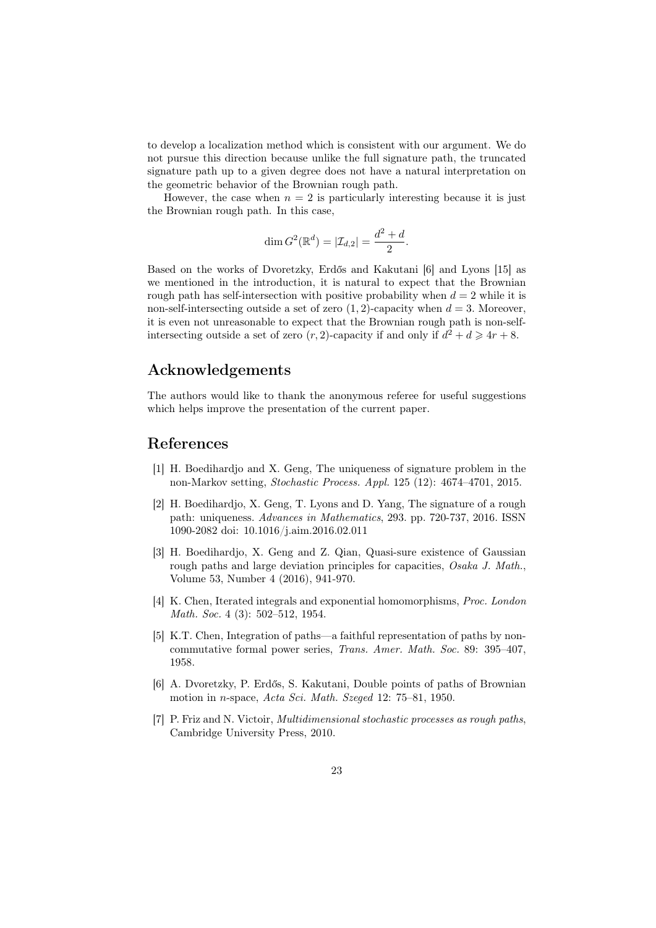to develop a localization method which is consistent with our argument. We do not pursue this direction because unlike the full signature path, the truncated signature path up to a given degree does not have a natural interpretation on the geometric behavior of the Brownian rough path.

However, the case when  $n = 2$  is particularly interesting because it is just the Brownian rough path. In this case,

$$
\dim G^{2}(\mathbb{R}^{d}) = |\mathcal{I}_{d,2}| = \frac{d^{2} + d}{2}.
$$

Based on the works of Dvoretzky, Erdős and Kakutani [6] and Lyons [15] as we mentioned in the introduction, it is natural to expect that the Brownian rough path has self-intersection with positive probability when  $d = 2$  while it is non-self-intersecting outside a set of zero  $(1, 2)$ -capacity when  $d = 3$ . Moreover, it is even not unreasonable to expect that the Brownian rough path is non-selfintersecting outside a set of zero  $(r, 2)$ -capacity if and only if  $d^2 + d \geq 4r + 8$ .

## Acknowledgements

The authors would like to thank the anonymous referee for useful suggestions which helps improve the presentation of the current paper.

## References

- [1] H. Boedihardjo and X. Geng, The uniqueness of signature problem in the non-Markov setting, Stochastic Process. Appl. 125 (12): 4674–4701, 2015.
- [2] H. Boedihardjo, X. Geng, T. Lyons and D. Yang, The signature of a rough path: uniqueness. Advances in Mathematics, 293. pp. 720-737, 2016. ISSN 1090-2082 doi: 10.1016/j.aim.2016.02.011
- [3] H. Boedihardjo, X. Geng and Z. Qian, Quasi-sure existence of Gaussian rough paths and large deviation principles for capacities, Osaka J. Math., Volume 53, Number 4 (2016), 941-970.
- [4] K. Chen, Iterated integrals and exponential homomorphisms, Proc. London Math. Soc. 4 (3): 502–512, 1954.
- [5] K.T. Chen, Integration of paths—a faithful representation of paths by noncommutative formal power series, *Trans. Amer. Math. Soc.* 89: 395-407. 1958.
- [6] A. Dvoretzky, P. Erdős, S. Kakutani, Double points of paths of Brownian motion in n-space, Acta Sci. Math. Szeged 12: 75–81, 1950.
- [7] P. Friz and N. Victoir, Multidimensional stochastic processes as rough paths, Cambridge University Press, 2010.